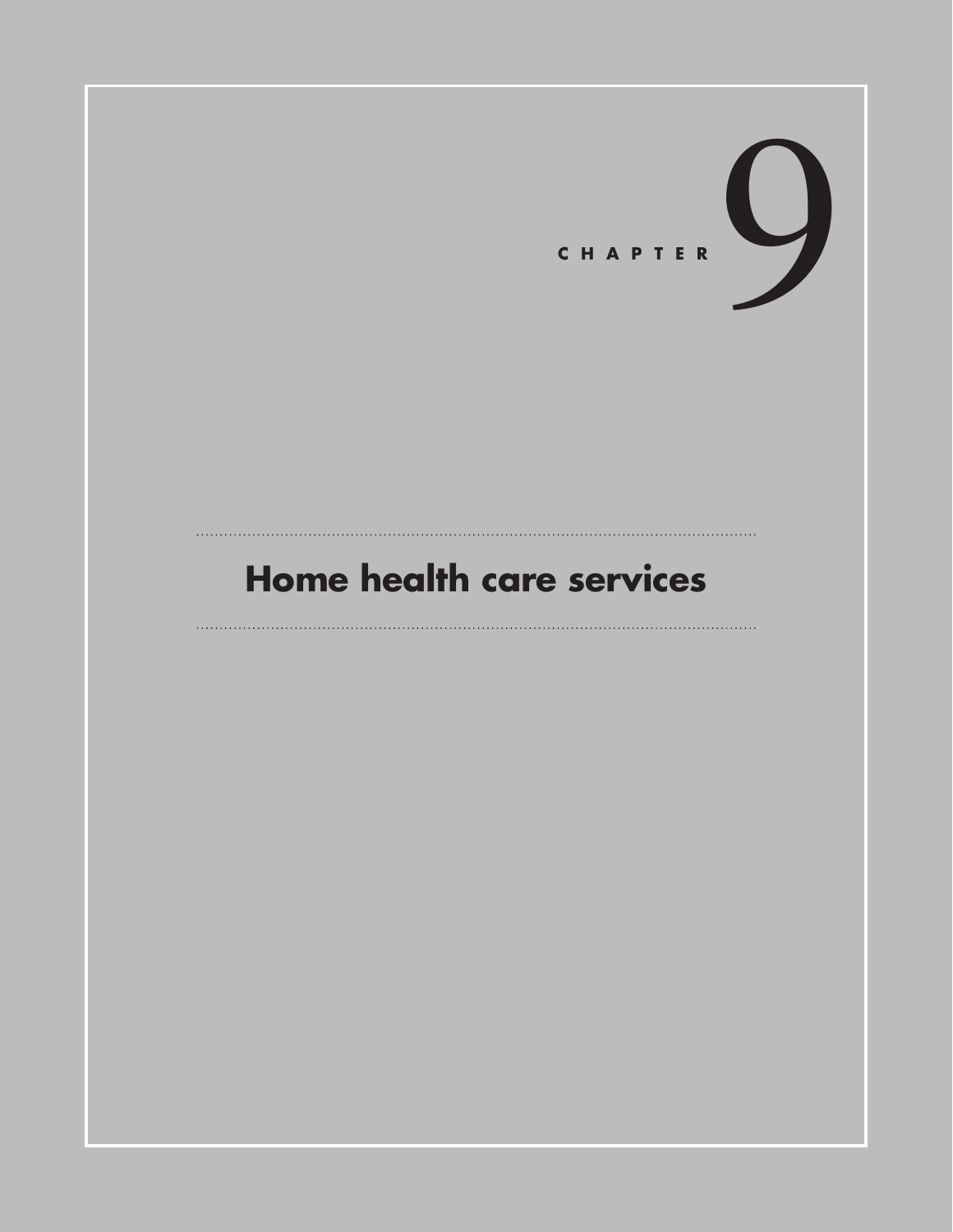

# **Home health care services**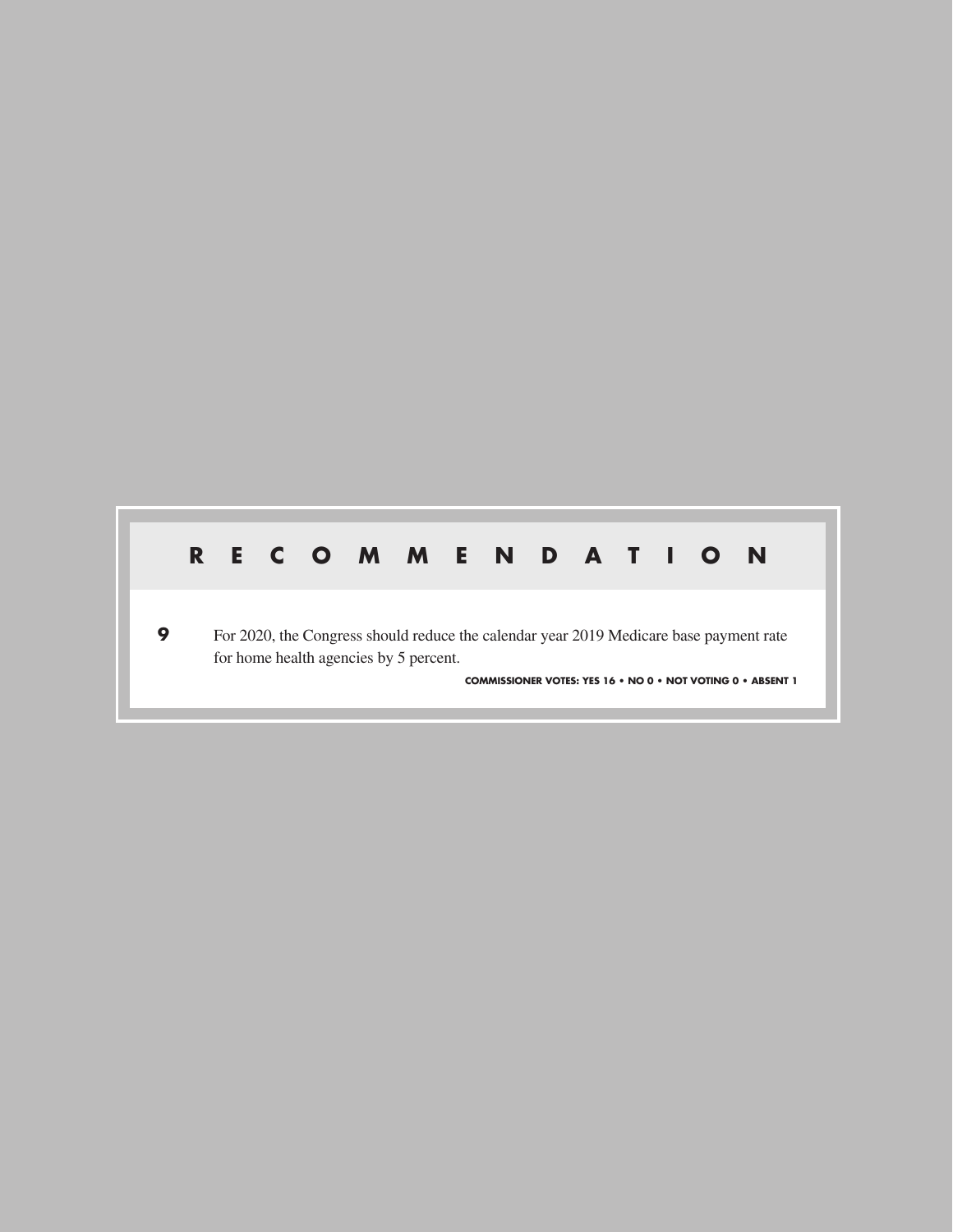## **RECOMMENDATION**

**9** For 2020, the Congress should reduce the calendar year 2019 Medicare base payment rate for home health agencies by 5 percent.

**COMMISSIONER VOTES: YES 16 • NO 0 • NOT VOTING 0 • ABSENT 1**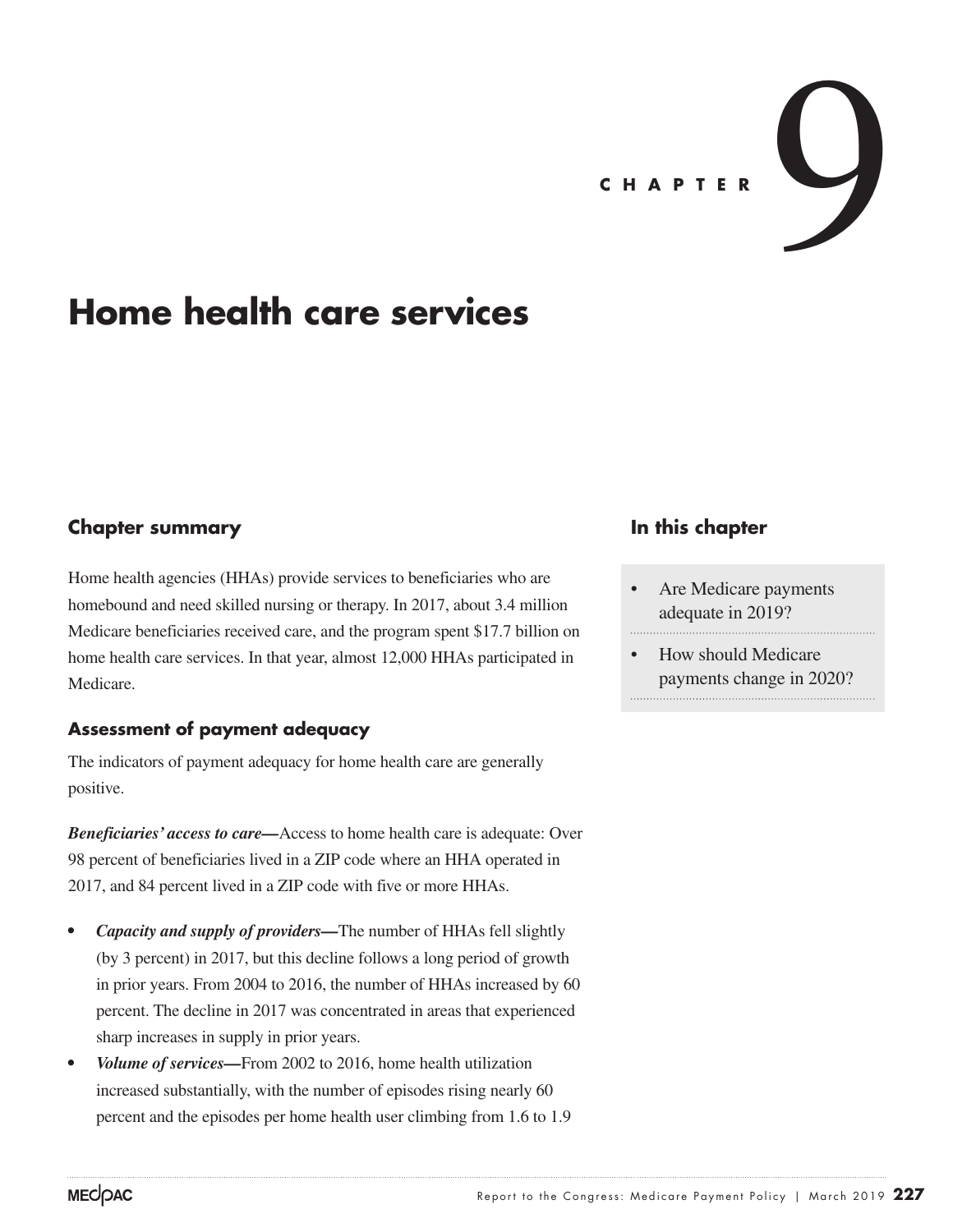# CHAPTER

## **Home health care services**

### **Chapter summary**

Home health agencies (HHAs) provide services to beneficiaries who are homebound and need skilled nursing or therapy. In 2017, about 3.4 million Medicare beneficiaries received care, and the program spent \$17.7 billion on home health care services. In that year, almost 12,000 HHAs participated in Medicare.

#### **Assessment of payment adequacy**

The indicators of payment adequacy for home health care are generally positive.

*Beneficiaries' access to care—*Access to home health care is adequate: Over 98 percent of beneficiaries lived in a ZIP code where an HHA operated in 2017, and 84 percent lived in a ZIP code with five or more HHAs.

- *• Capacity and supply of providers—*The number of HHAs fell slightly (by 3 percent) in 2017, but this decline follows a long period of growth in prior years. From 2004 to 2016, the number of HHAs increased by 60 percent. The decline in 2017 was concentrated in areas that experienced sharp increases in supply in prior years.
- *• Volume of services—*From 2002 to 2016, home health utilization increased substantially, with the number of episodes rising nearly 60 percent and the episodes per home health user climbing from 1.6 to 1.9

#### **In this chapter**

- Are Medicare payments adequate in 2019?
- How should Medicare payments change in 2020?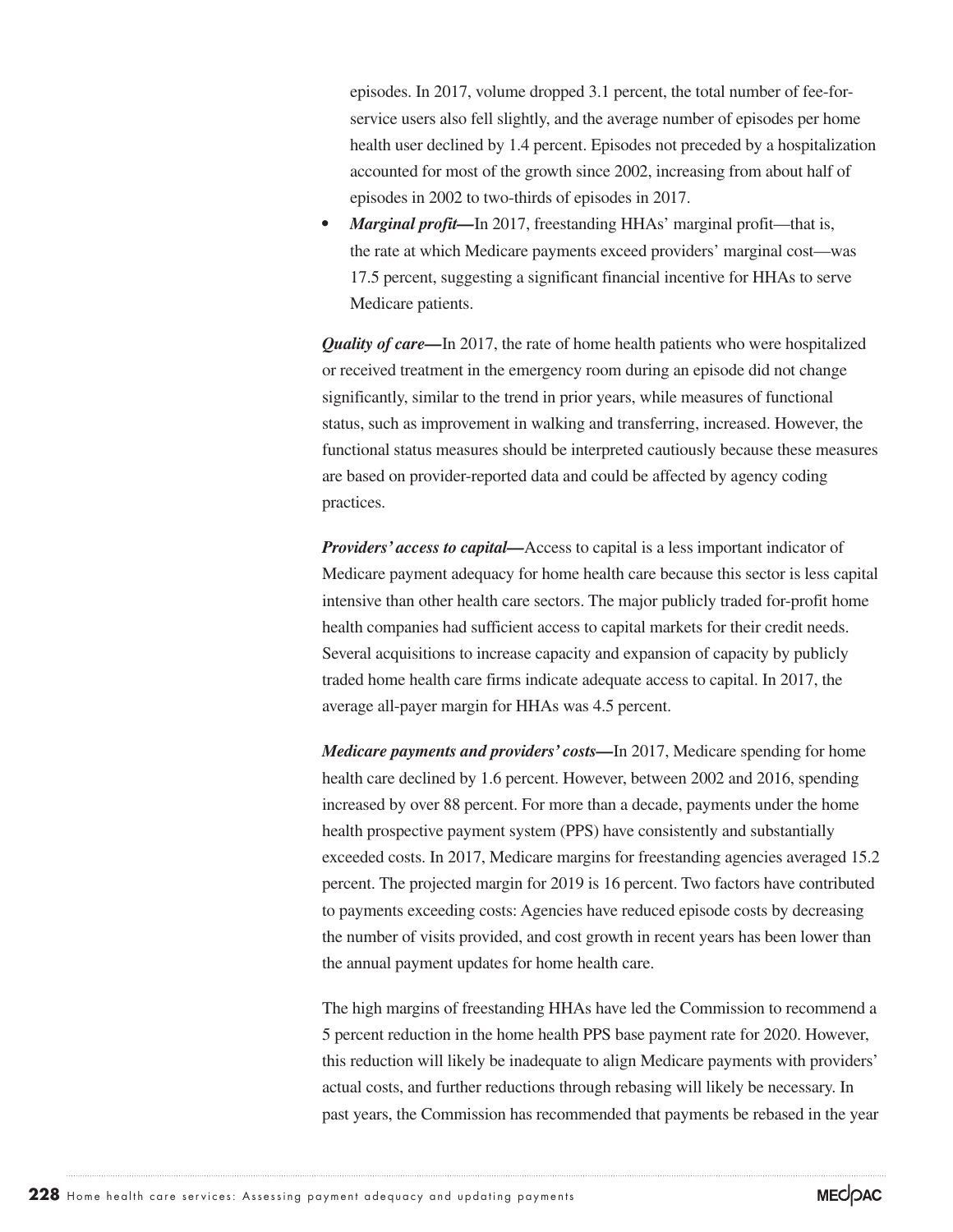episodes. In 2017, volume dropped 3.1 percent, the total number of fee-forservice users also fell slightly, and the average number of episodes per home health user declined by 1.4 percent. Episodes not preceded by a hospitalization accounted for most of the growth since 2002, increasing from about half of episodes in 2002 to two-thirds of episodes in 2017.

• *Marginal profit*—In 2017, freestanding HHAs' marginal profit—that is, the rate at which Medicare payments exceed providers' marginal cost—was 17.5 percent, suggesting a significant financial incentive for HHAs to serve Medicare patients.

*Quality of care—In 2017*, the rate of home health patients who were hospitalized or received treatment in the emergency room during an episode did not change significantly, similar to the trend in prior years, while measures of functional status, such as improvement in walking and transferring, increased. However, the functional status measures should be interpreted cautiously because these measures are based on provider-reported data and could be affected by agency coding practices.

*Providers' access to capital—Access to capital* is a less important indicator of Medicare payment adequacy for home health care because this sector is less capital intensive than other health care sectors. The major publicly traded for-profit home health companies had sufficient access to capital markets for their credit needs. Several acquisitions to increase capacity and expansion of capacity by publicly traded home health care firms indicate adequate access to capital. In 2017, the average all-payer margin for HHAs was 4.5 percent.

*Medicare payments and providers' costs—*In 2017, Medicare spending for home health care declined by 1.6 percent. However, between 2002 and 2016, spending increased by over 88 percent. For more than a decade, payments under the home health prospective payment system (PPS) have consistently and substantially exceeded costs. In 2017, Medicare margins for freestanding agencies averaged 15.2 percent. The projected margin for 2019 is 16 percent. Two factors have contributed to payments exceeding costs: Agencies have reduced episode costs by decreasing the number of visits provided, and cost growth in recent years has been lower than the annual payment updates for home health care.

The high margins of freestanding HHAs have led the Commission to recommend a 5 percent reduction in the home health PPS base payment rate for 2020. However, this reduction will likely be inadequate to align Medicare payments with providers' actual costs, and further reductions through rebasing will likely be necessary. In past years, the Commission has recommended that payments be rebased in the year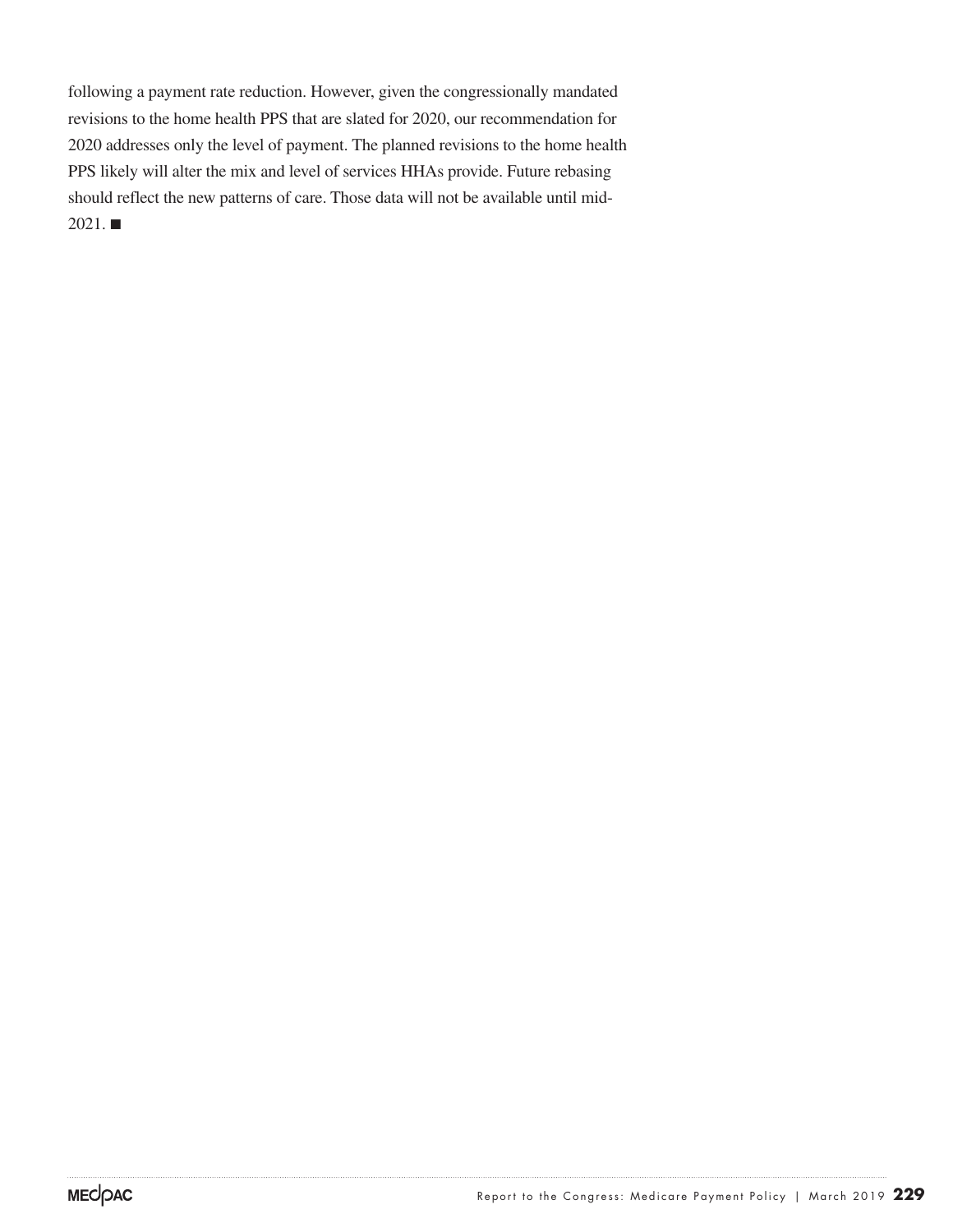following a payment rate reduction. However, given the congressionally mandated revisions to the home health PPS that are slated for 2020, our recommendation for 2020 addresses only the level of payment. The planned revisions to the home health PPS likely will alter the mix and level of services HHAs provide. Future rebasing should reflect the new patterns of care. Those data will not be available until mid- $2021.$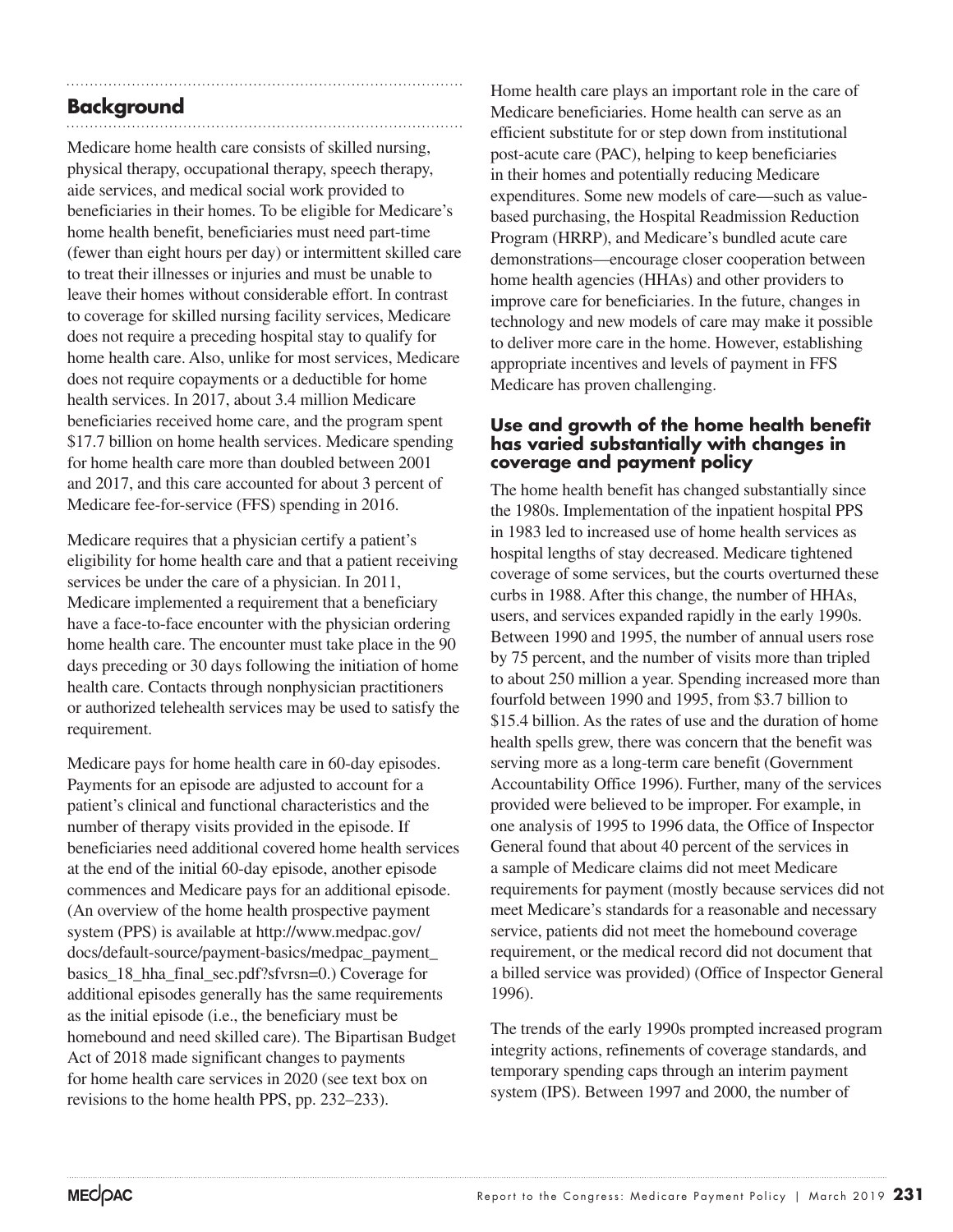## **Background**

Medicare home health care consists of skilled nursing, physical therapy, occupational therapy, speech therapy, aide services, and medical social work provided to beneficiaries in their homes. To be eligible for Medicare's home health benefit, beneficiaries must need part-time (fewer than eight hours per day) or intermittent skilled care to treat their illnesses or injuries and must be unable to leave their homes without considerable effort. In contrast to coverage for skilled nursing facility services, Medicare does not require a preceding hospital stay to qualify for home health care. Also, unlike for most services, Medicare does not require copayments or a deductible for home health services. In 2017, about 3.4 million Medicare beneficiaries received home care, and the program spent \$17.7 billion on home health services. Medicare spending for home health care more than doubled between 2001 and 2017, and this care accounted for about 3 percent of Medicare fee-for-service (FFS) spending in 2016.

Medicare requires that a physician certify a patient's eligibility for home health care and that a patient receiving services be under the care of a physician. In 2011, Medicare implemented a requirement that a beneficiary have a face-to-face encounter with the physician ordering home health care. The encounter must take place in the 90 days preceding or 30 days following the initiation of home health care. Contacts through nonphysician practitioners or authorized telehealth services may be used to satisfy the requirement.

Medicare pays for home health care in 60-day episodes. Payments for an episode are adjusted to account for a patient's clinical and functional characteristics and the number of therapy visits provided in the episode. If beneficiaries need additional covered home health services at the end of the initial 60-day episode, another episode commences and Medicare pays for an additional episode. (An overview of the home health prospective payment system (PPS) is available at http://www.medpac.gov/ docs/default-source/payment-basics/medpac\_payment\_ basics\_18\_hha\_final\_sec.pdf?sfvrsn=0.) Coverage for additional episodes generally has the same requirements as the initial episode (i.e., the beneficiary must be homebound and need skilled care). The Bipartisan Budget Act of 2018 made significant changes to payments for home health care services in 2020 (see text box on revisions to the home health PPS, pp. 232–233).

Home health care plays an important role in the care of Medicare beneficiaries. Home health can serve as an efficient substitute for or step down from institutional post-acute care (PAC), helping to keep beneficiaries in their homes and potentially reducing Medicare expenditures. Some new models of care—such as valuebased purchasing, the Hospital Readmission Reduction Program (HRRP), and Medicare's bundled acute care demonstrations—encourage closer cooperation between home health agencies (HHAs) and other providers to improve care for beneficiaries. In the future, changes in technology and new models of care may make it possible to deliver more care in the home. However, establishing appropriate incentives and levels of payment in FFS Medicare has proven challenging.

#### **Use and growth of the home health benefit has varied substantially with changes in coverage and payment policy**

The home health benefit has changed substantially since the 1980s. Implementation of the inpatient hospital PPS in 1983 led to increased use of home health services as hospital lengths of stay decreased. Medicare tightened coverage of some services, but the courts overturned these curbs in 1988. After this change, the number of HHAs, users, and services expanded rapidly in the early 1990s. Between 1990 and 1995, the number of annual users rose by 75 percent, and the number of visits more than tripled to about 250 million a year. Spending increased more than fourfold between 1990 and 1995, from \$3.7 billion to \$15.4 billion. As the rates of use and the duration of home health spells grew, there was concern that the benefit was serving more as a long-term care benefit (Government Accountability Office 1996). Further, many of the services provided were believed to be improper. For example, in one analysis of 1995 to 1996 data, the Office of Inspector General found that about 40 percent of the services in a sample of Medicare claims did not meet Medicare requirements for payment (mostly because services did not meet Medicare's standards for a reasonable and necessary service, patients did not meet the homebound coverage requirement, or the medical record did not document that a billed service was provided) (Office of Inspector General 1996).

The trends of the early 1990s prompted increased program integrity actions, refinements of coverage standards, and temporary spending caps through an interim payment system (IPS). Between 1997 and 2000, the number of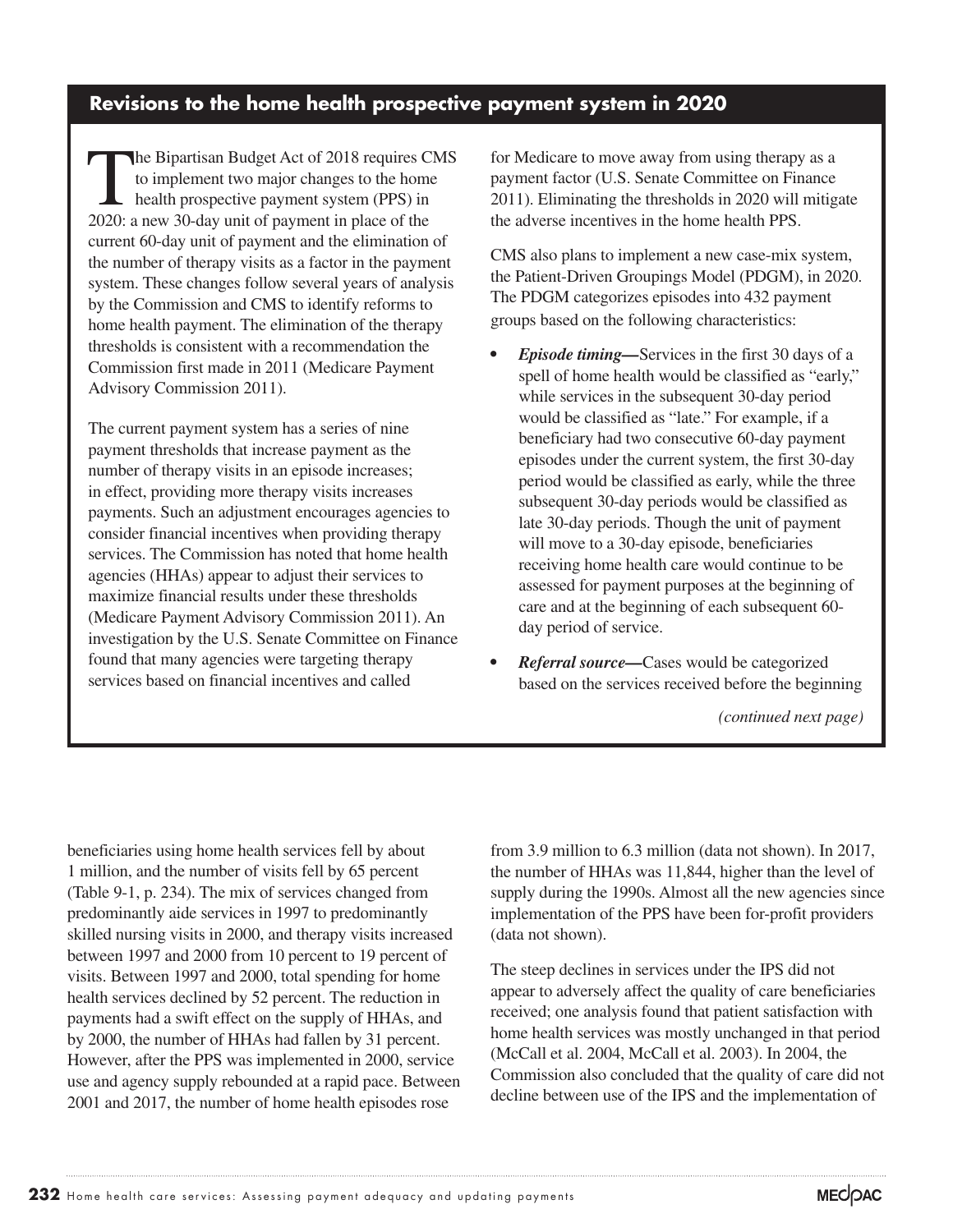#### **Revisions to the home health prospective payment system in 2020**

The Bipartisan Budget Act of 2018 requires CMS<br>to implement two major changes to the home<br>health prospective payment system (PPS) in<br>2020: a new 30 day unit of payment in place of the to implement two major changes to the home health prospective payment system (PPS) in 2020: a new 30-day unit of payment in place of the current 60-day unit of payment and the elimination of the number of therapy visits as a factor in the payment system. These changes follow several years of analysis by the Commission and CMS to identify reforms to home health payment. The elimination of the therapy thresholds is consistent with a recommendation the Commission first made in 2011 (Medicare Payment Advisory Commission 2011).

The current payment system has a series of nine payment thresholds that increase payment as the number of therapy visits in an episode increases; in effect, providing more therapy visits increases payments. Such an adjustment encourages agencies to consider financial incentives when providing therapy services. The Commission has noted that home health agencies (HHAs) appear to adjust their services to maximize financial results under these thresholds (Medicare Payment Advisory Commission 2011). An investigation by the U.S. Senate Committee on Finance found that many agencies were targeting therapy services based on financial incentives and called

for Medicare to move away from using therapy as a payment factor (U.S. Senate Committee on Finance 2011). Eliminating the thresholds in 2020 will mitigate the adverse incentives in the home health PPS.

CMS also plans to implement a new case-mix system, the Patient-Driven Groupings Model (PDGM), in 2020. The PDGM categorizes episodes into 432 payment groups based on the following characteristics:

- *• Episode timing—*Services in the first 30 days of a spell of home health would be classified as "early," while services in the subsequent 30-day period would be classified as "late." For example, if a beneficiary had two consecutive 60-day payment episodes under the current system, the first 30-day period would be classified as early, while the three subsequent 30-day periods would be classified as late 30-day periods. Though the unit of payment will move to a 30-day episode, beneficiaries receiving home health care would continue to be assessed for payment purposes at the beginning of care and at the beginning of each subsequent 60 day period of service.
- *• Referral source—*Cases would be categorized based on the services received before the beginning

*(continued next page)*

beneficiaries using home health services fell by about 1 million, and the number of visits fell by 65 percent (Table 9-1, p. 234). The mix of services changed from predominantly aide services in 1997 to predominantly skilled nursing visits in 2000, and therapy visits increased between 1997 and 2000 from 10 percent to 19 percent of visits. Between 1997 and 2000, total spending for home health services declined by 52 percent. The reduction in payments had a swift effect on the supply of HHAs, and by 2000, the number of HHAs had fallen by 31 percent. However, after the PPS was implemented in 2000, service use and agency supply rebounded at a rapid pace. Between 2001 and 2017, the number of home health episodes rose

from 3.9 million to 6.3 million (data not shown). In 2017, the number of HHAs was 11,844, higher than the level of supply during the 1990s. Almost all the new agencies since implementation of the PPS have been for-profit providers (data not shown).

The steep declines in services under the IPS did not appear to adversely affect the quality of care beneficiaries received; one analysis found that patient satisfaction with home health services was mostly unchanged in that period (McCall et al. 2004, McCall et al. 2003). In 2004, the Commission also concluded that the quality of care did not decline between use of the IPS and the implementation of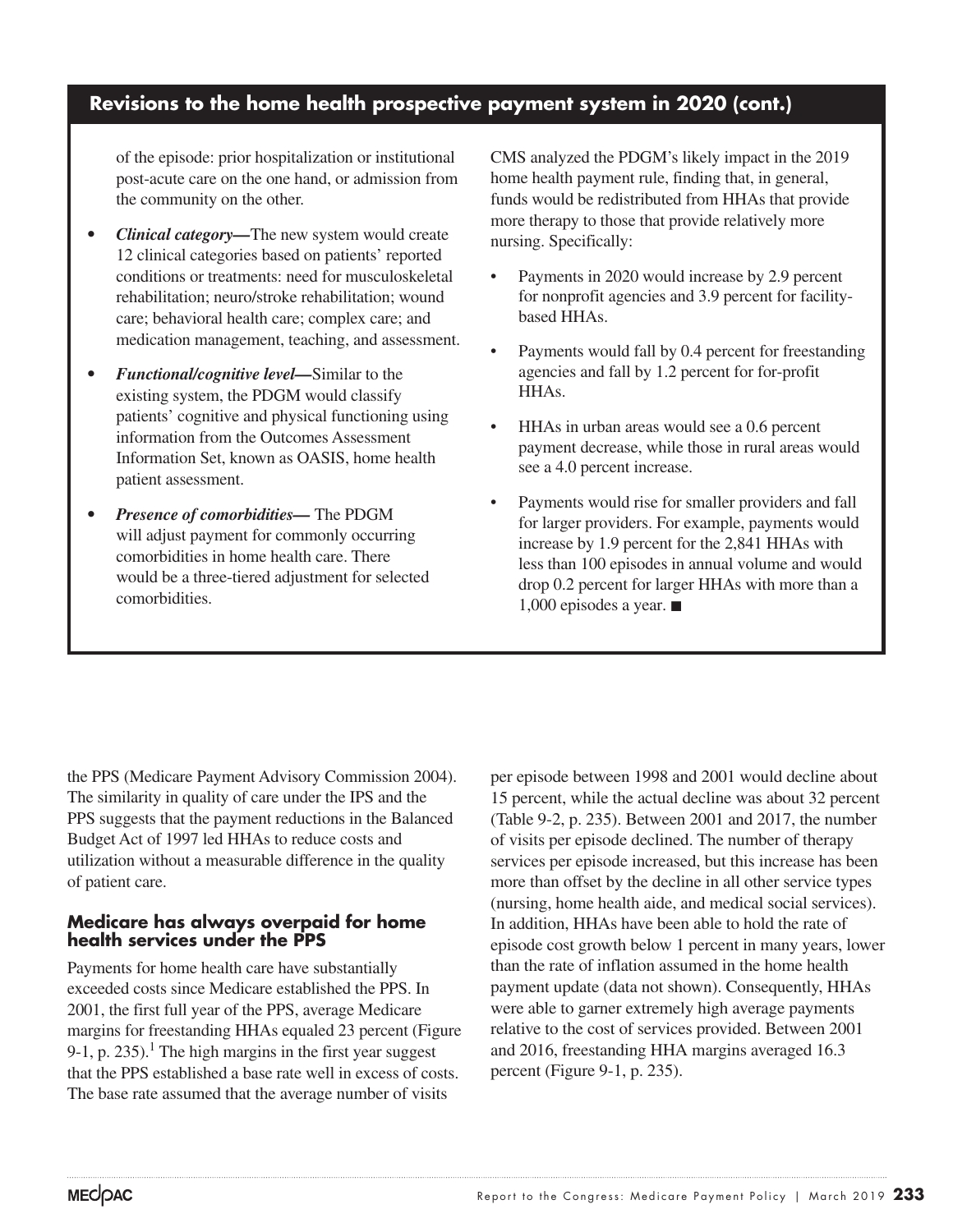#### **Revisions to the home health prospective payment system in 2020 (cont.)**

of the episode: prior hospitalization or institutional post-acute care on the one hand, or admission from the community on the other.

- *• Clinical category—*The new system would create 12 clinical categories based on patients' reported conditions or treatments: need for musculoskeletal rehabilitation; neuro/stroke rehabilitation; wound care; behavioral health care; complex care; and medication management, teaching, and assessment.
- *• Functional/cognitive level—*Similar to the existing system, the PDGM would classify patients' cognitive and physical functioning using information from the Outcomes Assessment Information Set, known as OASIS, home health patient assessment.
- *• Presence of comorbidities—* The PDGM will adjust payment for commonly occurring comorbidities in home health care. There would be a three-tiered adjustment for selected comorbidities.

CMS analyzed the PDGM's likely impact in the 2019 home health payment rule, finding that, in general, funds would be redistributed from HHAs that provide more therapy to those that provide relatively more nursing. Specifically:

- Payments in 2020 would increase by 2.9 percent for nonprofit agencies and 3.9 percent for facilitybased HHAs.
- Payments would fall by 0.4 percent for freestanding agencies and fall by 1.2 percent for for-profit HHAs.
- HHAs in urban areas would see a 0.6 percent payment decrease, while those in rural areas would see a 4.0 percent increase.
- Payments would rise for smaller providers and fall for larger providers. For example, payments would increase by 1.9 percent for the 2,841 HHAs with less than 100 episodes in annual volume and would drop 0.2 percent for larger HHAs with more than a 1,000 episodes a year. ■

the PPS (Medicare Payment Advisory Commission 2004). The similarity in quality of care under the IPS and the PPS suggests that the payment reductions in the Balanced Budget Act of 1997 led HHAs to reduce costs and utilization without a measurable difference in the quality of patient care.

#### **Medicare has always overpaid for home health services under the PPS**

Payments for home health care have substantially exceeded costs since Medicare established the PPS. In 2001, the first full year of the PPS, average Medicare margins for freestanding HHAs equaled 23 percent (Figure 9-1, p. 235).<sup>1</sup> The high margins in the first year suggest that the PPS established a base rate well in excess of costs. The base rate assumed that the average number of visits

per episode between 1998 and 2001 would decline about 15 percent, while the actual decline was about 32 percent (Table 9-2, p. 235). Between 2001 and 2017, the number of visits per episode declined. The number of therapy services per episode increased, but this increase has been more than offset by the decline in all other service types (nursing, home health aide, and medical social services). In addition, HHAs have been able to hold the rate of episode cost growth below 1 percent in many years, lower than the rate of inflation assumed in the home health payment update (data not shown). Consequently, HHAs were able to garner extremely high average payments relative to the cost of services provided. Between 2001 and 2016, freestanding HHA margins averaged 16.3 percent (Figure 9-1, p. 235).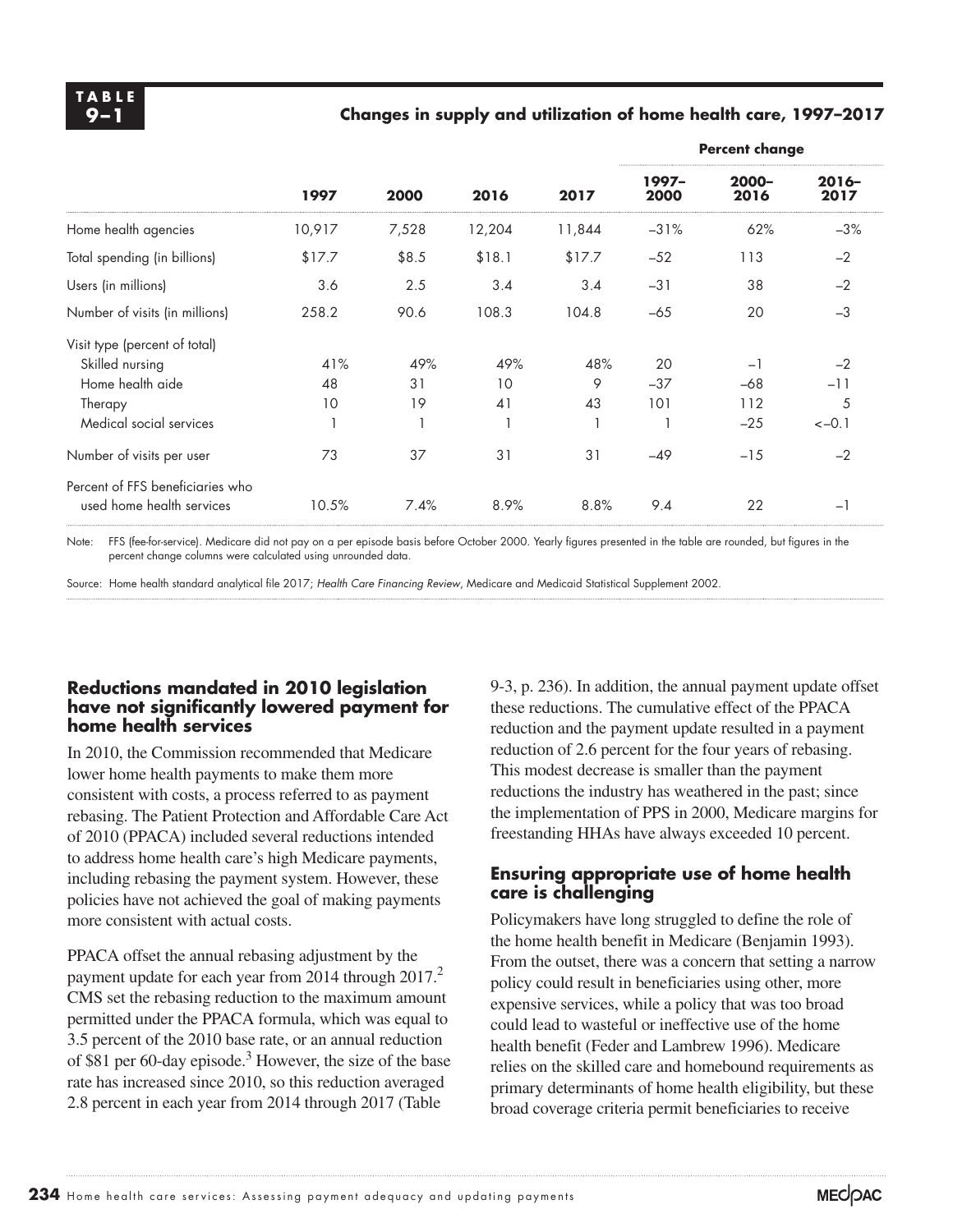#### **9–1 Changes in supply and utilization of home health care, 1997–2017**

|                                                               |        |       | 2016   | 2017   | <b>Percent change</b> |               |                  |  |
|---------------------------------------------------------------|--------|-------|--------|--------|-----------------------|---------------|------------------|--|
|                                                               | 1997   | 2000  |        |        | $1997-$<br>2000       | 2000-<br>2016 | $2016 -$<br>2017 |  |
| Home health agencies                                          | 10,917 | 7,528 | 12,204 | 11,844 | $-31%$                | 62%           | $-3%$            |  |
| Total spending (in billions)                                  | \$17.7 | \$8.5 | \$18.1 | \$17.7 | $-52$                 | 113           | $-2$             |  |
| Users (in millions)                                           | 3.6    | 2.5   | 3.4    | 3.4    | $-31$                 | 38            | $-2$             |  |
| Number of visits (in millions)                                | 258.2  | 90.6  | 108.3  | 104.8  | $-65$                 | 20            | $-3$             |  |
| Visit type (percent of total)                                 |        |       |        |        |                       |               |                  |  |
| Skilled nursing                                               | 41%    | 49%   | 49%    | 48%    | 20                    | $-1$          | $-2$             |  |
| Home health aide                                              | 48     | 31    | 10     | 9      | $-37$                 | $-68$         | $-11$            |  |
| Therapy                                                       | 10     | 19    | 41     | 43     | 101                   | 112           | 5                |  |
| Medical social services                                       |        |       |        |        |                       | $-25$         | $<-0.1$          |  |
| Number of visits per user                                     | 73     | 37    | 31     | 31     | $-49$                 | $-15$         | $-2$             |  |
| Percent of FFS beneficiaries who<br>used home health services | 10.5%  | 7.4%  | 8.9%   | 8.8%   | 9.4                   | 22            | $-1$             |  |

Note: FFS (fee-for-service). Medicare did not pay on a per episode basis before October 2000. Yearly figures presented in the table are rounded, but figures in the percent change columns were calculated using unrounded data.

Source: Home health standard analytical file 2017; *Health Care Financing Review*, Medicare and Medicaid Statistical Supplement 2002.

#### **Reductions mandated in 2010 legislation have not significantly lowered payment for home health services**

In 2010, the Commission recommended that Medicare lower home health payments to make them more consistent with costs, a process referred to as payment rebasing. The Patient Protection and Affordable Care Act of 2010 (PPACA) included several reductions intended to address home health care's high Medicare payments, including rebasing the payment system. However, these policies have not achieved the goal of making payments more consistent with actual costs.

PPACA offset the annual rebasing adjustment by the payment update for each year from 2014 through 2017.<sup>2</sup> CMS set the rebasing reduction to the maximum amount permitted under the PPACA formula, which was equal to 3.5 percent of the 2010 base rate, or an annual reduction of \$81 per 60-day episode.<sup>3</sup> However, the size of the base rate has increased since 2010, so this reduction averaged 2.8 percent in each year from 2014 through 2017 (Table

9-3, p. 236). In addition, the annual payment update offset these reductions. The cumulative effect of the PPACA reduction and the payment update resulted in a payment reduction of 2.6 percent for the four years of rebasing. This modest decrease is smaller than the payment reductions the industry has weathered in the past; since the implementation of PPS in 2000, Medicare margins for freestanding HHAs have always exceeded 10 percent.

#### **Ensuring appropriate use of home health care is challenging**

Policymakers have long struggled to define the role of the home health benefit in Medicare (Benjamin 1993). From the outset, there was a concern that setting a narrow policy could result in beneficiaries using other, more expensive services, while a policy that was too broad could lead to wasteful or ineffective use of the home health benefit (Feder and Lambrew 1996). Medicare relies on the skilled care and homebound requirements as primary determinants of home health eligibility, but these broad coverage criteria permit beneficiaries to receive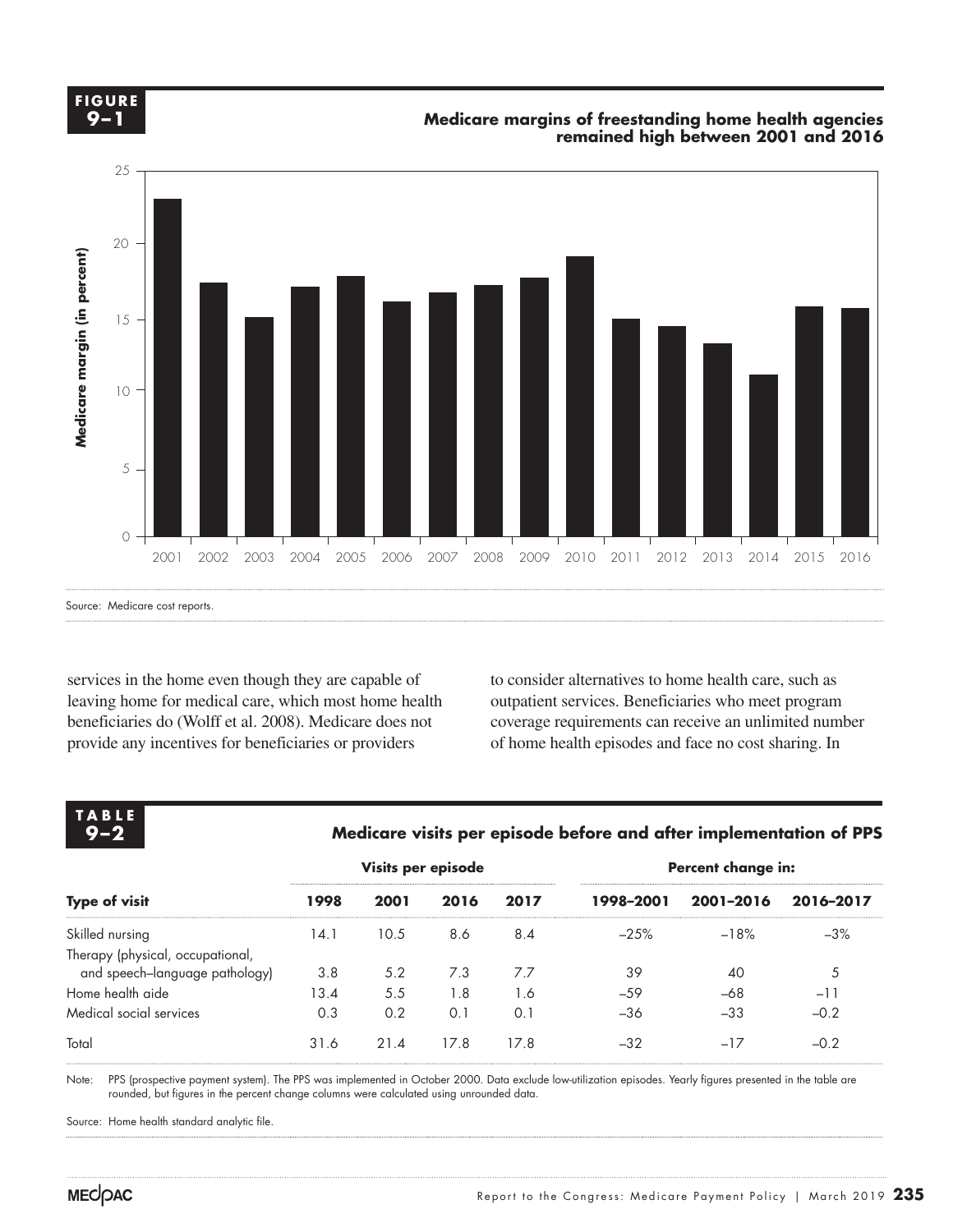**FIGURE FIGURE X-X 9–1**

#### **Medicare margins of freestanding home health agencies remained high between 2001 and 2016**



Source: Medicare cost reports.

services in the home even though they are capable of leaving home for medical care, which most home health beneficiaries do (Wolff et al. 2008). Medicare does not provide any incentives for beneficiaries or providers

to consider alternatives to home health care, such as outpatient services. Beneficiaries who meet program coverage requirements can receive an unlimited number of home health episodes and face no cost sharing. In

| <b>TABLE</b><br>$9 - 2$          | Medicare visits per episode before and after implementation of PPS |      |                    |      |                    |           |           |  |  |
|----------------------------------|--------------------------------------------------------------------|------|--------------------|------|--------------------|-----------|-----------|--|--|
|                                  |                                                                    |      | Visits per episode |      | Percent change in: |           |           |  |  |
| <b>Type of visit</b>             | 1998                                                               | 2001 | 2016               | 2017 | 1998-2001          | 2001-2016 | 2016-2017 |  |  |
| Skilled nursing                  | 14.1                                                               | 10.5 | 8.6                | 8.4  | $-25%$             | $-18%$    | $-3%$     |  |  |
| Therapy (physical, occupational, |                                                                    |      |                    |      |                    |           |           |  |  |
| and speech–language pathology)   | 3.8                                                                | 5.2  | 7.3                | 7.7  | 39                 | 40        | 5         |  |  |
| Home health aide                 | 13.4                                                               | 5.5  | 1.8                | 1.6  | $-59$              | $-68$     | $-11$     |  |  |
| Medical social services          | 0.3                                                                | 0.2  | 0.1                | 0.1  | -36                | $-33$     | $-0.2$    |  |  |
| Total                            | 31.6                                                               | 21.4 | 17.8               | 17.8 | $-32$              | $-17$     | $-0.2$    |  |  |
|                                  |                                                                    |      |                    |      |                    |           |           |  |  |

rrs (prospective payment system). The rrs was implemented in October 2000. Data exclude low-utilization episodes. Tearly tigures p<br>rounded, but figures in the percent change columns were calculated using unrounded data. Note: PPS (prospective payment system). The PPS was implemented in October 2000. Data exclude low-utilization episodes. Yearly figures presented in the table are

Source: Home health standard analytic file.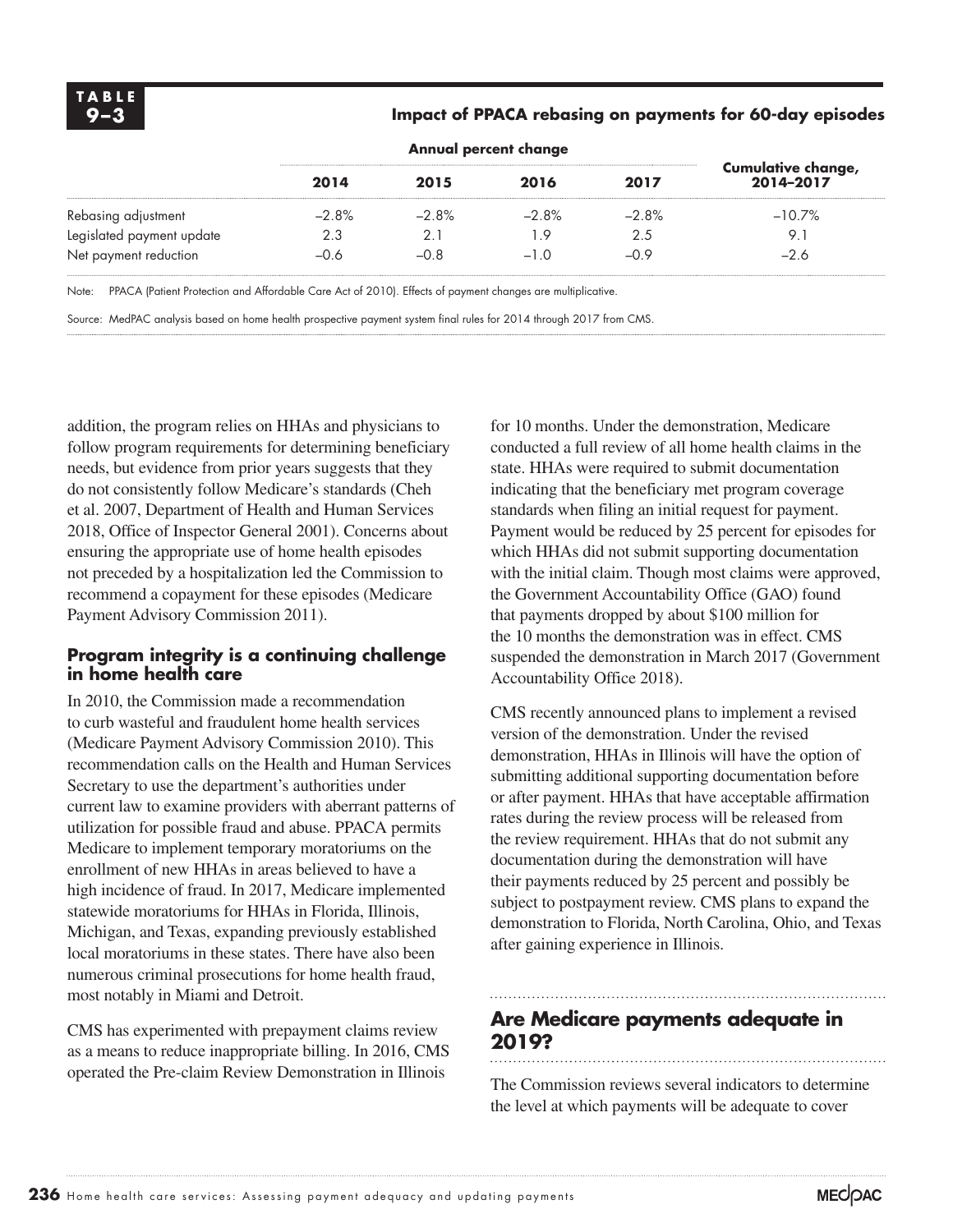#### **9–3 Impact of PPACA rebasing on payments for 60-day episodes**

|                           | 2014    | 2015    | 2016    | 2017    | Cumulative change,<br>2014-2017 |
|---------------------------|---------|---------|---------|---------|---------------------------------|
| Rebasing adjustment       | $-2.8%$ | $-2.8%$ | $-2.8%$ | $-2.8%$ | $-10.7\%$                       |
| Legislated payment update | 2.3     |         | -9      | 2.5     | 9.                              |
| Net payment reduction     | -0.6    | $-0.8$  | $-10$   | $-09$   | $-26$                           |

Note: PPACA (Patient Protection and Affordable Care Act of 2010). Effects of payment changes are multiplicative.

Source: MedPAC analysis based on home health prospective payment system final rules for 2014 through 2017 from CMS.

addition, the program relies on HHAs and physicians to follow program requirements for determining beneficiary needs, but evidence from prior years suggests that they do not consistently follow Medicare's standards (Cheh et al. 2007, Department of Health and Human Services 2018, Office of Inspector General 2001). Concerns about ensuring the appropriate use of home health episodes not preceded by a hospitalization led the Commission to recommend a copayment for these episodes (Medicare Payment Advisory Commission 2011).

#### **Program integrity is a continuing challenge in home health care**

In 2010, the Commission made a recommendation to curb wasteful and fraudulent home health services (Medicare Payment Advisory Commission 2010). This recommendation calls on the Health and Human Services Secretary to use the department's authorities under current law to examine providers with aberrant patterns of utilization for possible fraud and abuse. PPACA permits Medicare to implement temporary moratoriums on the enrollment of new HHAs in areas believed to have a high incidence of fraud. In 2017, Medicare implemented statewide moratoriums for HHAs in Florida, Illinois, Michigan, and Texas, expanding previously established local moratoriums in these states. There have also been numerous criminal prosecutions for home health fraud, most notably in Miami and Detroit.

CMS has experimented with prepayment claims review as a means to reduce inappropriate billing. In 2016, CMS operated the Pre-claim Review Demonstration in Illinois

for 10 months. Under the demonstration, Medicare conducted a full review of all home health claims in the state. HHAs were required to submit documentation indicating that the beneficiary met program coverage standards when filing an initial request for payment. Payment would be reduced by 25 percent for episodes for which HHAs did not submit supporting documentation with the initial claim. Though most claims were approved, the Government Accountability Office (GAO) found that payments dropped by about \$100 million for the 10 months the demonstration was in effect. CMS suspended the demonstration in March 2017 (Government Accountability Office 2018).

CMS recently announced plans to implement a revised version of the demonstration. Under the revised demonstration, HHAs in Illinois will have the option of submitting additional supporting documentation before or after payment. HHAs that have acceptable affirmation rates during the review process will be released from the review requirement. HHAs that do not submit any documentation during the demonstration will have their payments reduced by 25 percent and possibly be subject to postpayment review. CMS plans to expand the demonstration to Florida, North Carolina, Ohio, and Texas after gaining experience in Illinois.

## **Are Medicare payments adequate in 2019?**

The Commission reviews several indicators to determine the level at which payments will be adequate to cover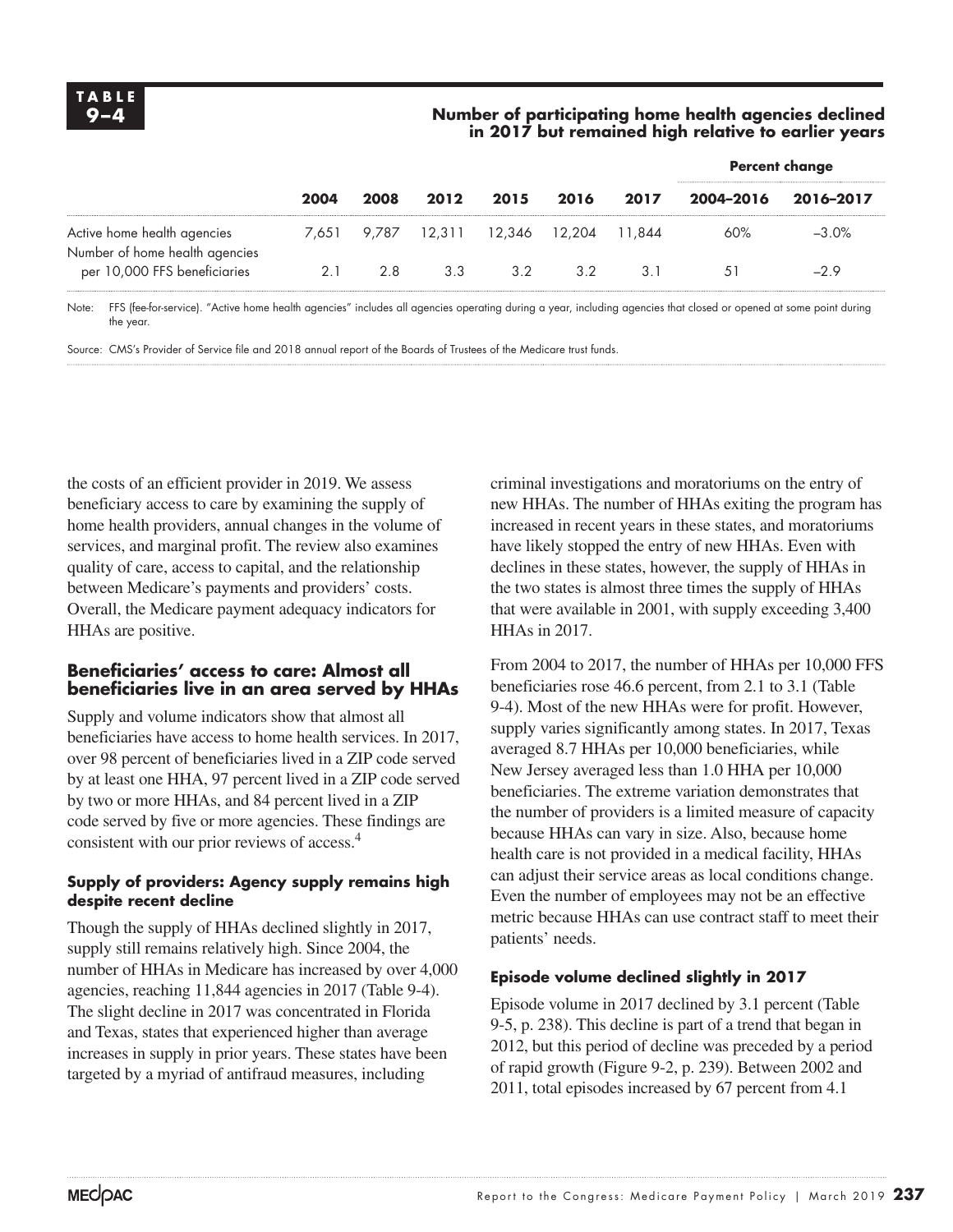#### **9–4 Number of participating home health agencies declined in 2017 but remained high relative to earlier years**

|                                                               |      |      |      | <b>Percent change</b>            |      |        |           |           |
|---------------------------------------------------------------|------|------|------|----------------------------------|------|--------|-----------|-----------|
|                                                               | 2004 | 2008 | 2012 | 2015                             | 2016 | 2017   | 2004-2016 | 2016-2017 |
| Active home health agencies<br>Number of home health agencies |      |      |      | 7,651 9,787 12,311 12,346 12,204 |      | 11.844 | 60%       | $-3.0\%$  |
| per 10,000 FFS beneficiaries                                  | 2.1  | 2.8  | 3.3  | 3.2                              | 32   | 3.1    | 51        | $-29$     |

Note: FFS (fee-for-service). "Active home health agencies" includes all agencies operating during a year, including agencies that closed or opened at some point during the year.

Source: CMS's Provider of Service file and 2018 annual report of the Boards of Trustees of the Medicare trust funds.

the costs of an efficient provider in 2019. We assess beneficiary access to care by examining the supply of home health providers, annual changes in the volume of services, and marginal profit. The review also examines quality of care, access to capital, and the relationship between Medicare's payments and providers' costs. Overall, the Medicare payment adequacy indicators for HHAs are positive.

#### **Beneficiaries' access to care: Almost all beneficiaries live in an area served by HHAs**

Supply and volume indicators show that almost all beneficiaries have access to home health services. In 2017, over 98 percent of beneficiaries lived in a ZIP code served by at least one HHA, 97 percent lived in a ZIP code served by two or more HHAs, and 84 percent lived in a ZIP code served by five or more agencies. These findings are consistent with our prior reviews of access.4

#### **Supply of providers: Agency supply remains high despite recent decline**

Though the supply of HHAs declined slightly in 2017, supply still remains relatively high. Since 2004, the number of HHAs in Medicare has increased by over 4,000 agencies, reaching 11,844 agencies in 2017 (Table 9-4). The slight decline in 2017 was concentrated in Florida and Texas, states that experienced higher than average increases in supply in prior years. These states have been targeted by a myriad of antifraud measures, including

criminal investigations and moratoriums on the entry of new HHAs. The number of HHAs exiting the program has increased in recent years in these states, and moratoriums have likely stopped the entry of new HHAs. Even with declines in these states, however, the supply of HHAs in the two states is almost three times the supply of HHAs that were available in 2001, with supply exceeding 3,400 HHAs in 2017.

From 2004 to 2017, the number of HHAs per 10,000 FFS beneficiaries rose 46.6 percent, from 2.1 to 3.1 (Table 9-4). Most of the new HHAs were for profit. However, supply varies significantly among states. In 2017, Texas averaged 8.7 HHAs per 10,000 beneficiaries, while New Jersey averaged less than 1.0 HHA per 10,000 beneficiaries. The extreme variation demonstrates that the number of providers is a limited measure of capacity because HHAs can vary in size. Also, because home health care is not provided in a medical facility, HHAs can adjust their service areas as local conditions change. Even the number of employees may not be an effective metric because HHAs can use contract staff to meet their patients' needs.

#### **Episode volume declined slightly in 2017**

Episode volume in 2017 declined by 3.1 percent (Table 9-5, p. 238). This decline is part of a trend that began in 2012, but this period of decline was preceded by a period of rapid growth (Figure 9-2, p. 239). Between 2002 and 2011, total episodes increased by 67 percent from 4.1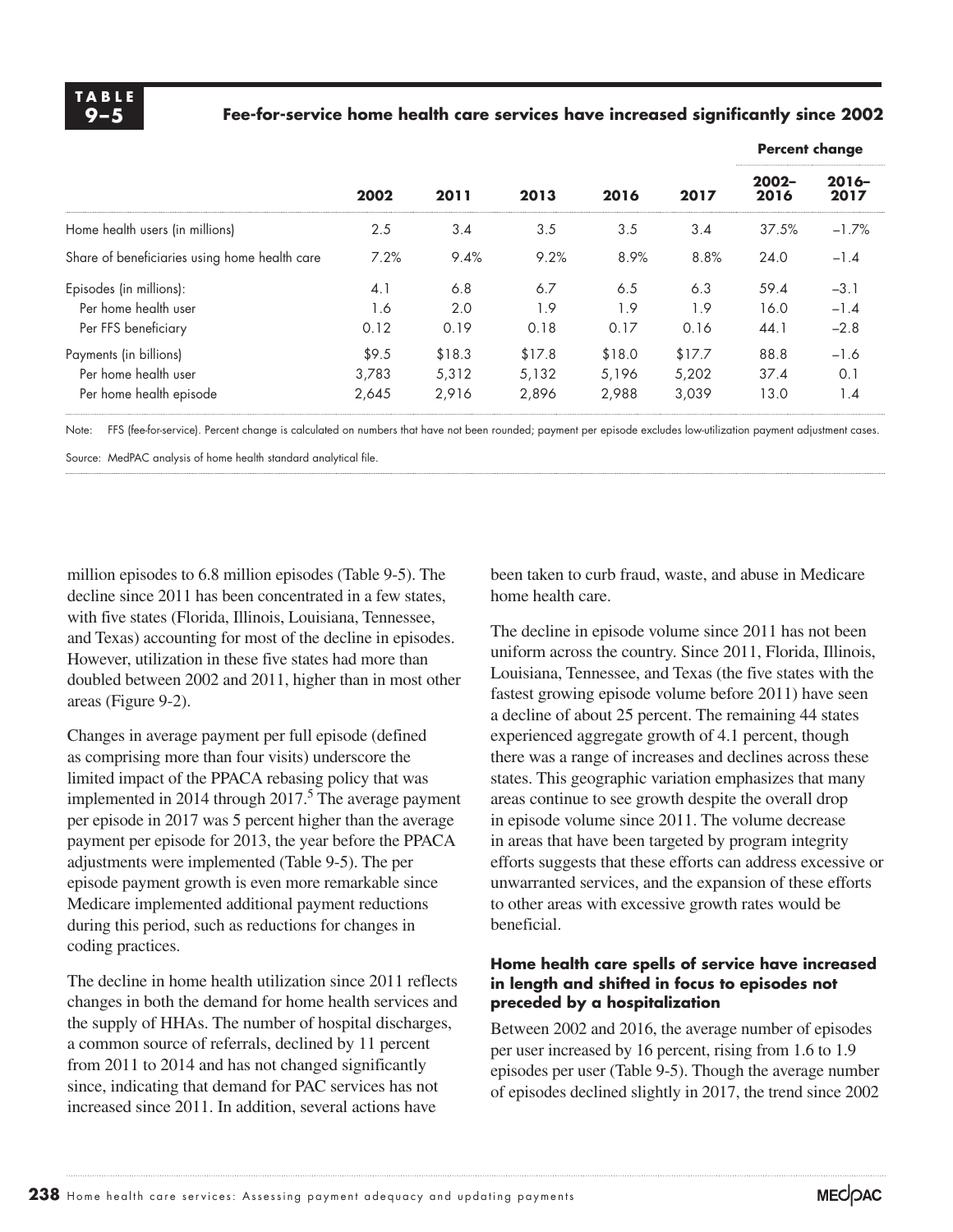#### **9–5 Fee-for-service home health care services have increased significantly since 2002**

|                                               |       |        | 2013   |        |        | <b>Percent change</b> |                 |
|-----------------------------------------------|-------|--------|--------|--------|--------|-----------------------|-----------------|
|                                               | 2002  | 2011   |        | 2016   | 2017   | $2002 -$<br>2016      | $2016-$<br>2017 |
| Home health users (in millions)               | 2.5   | 3.4    | 3.5    | 3.5    | 3.4    | 37.5%                 | $-1.7%$         |
| Share of beneficiaries using home health care | 7.2%  | 9.4%   | 9.2%   | 8.9%   | 8.8%   | 24.0                  | $-1.4$          |
| Episodes (in millions):                       | 4.1   | 6.8    | 6.7    | 6.5    | 6.3    | 59.4                  | $-3.1$          |
| Per home health user                          | 1.6   | 2.0    | 1.9    | 1.9    | 1.9    | 16.0                  | $-1.4$          |
| Per FFS beneficiary                           | 0.12  | 0.19   | 0.18   | 0.17   | 0.16   | 44.1                  | $-2.8$          |
| Payments (in billions)                        | \$9.5 | \$18.3 | \$17.8 | \$18.0 | \$17.7 | 88.8                  | -1.6            |
| Per home health user                          | 3.783 | 5,312  | 5.132  | 5.196  | 5.202  | 37.4                  | 0.1             |
| Per home health episode                       | 2,645 | 2,916  | 2,896  | 2,988  | 3,039  | 13.0                  | 1.4             |

Note: FFS (fee-for-service). Percent change is calculated on numbers that have not been rounded; payment per episode excludes low-utilization payment adjustment cases.

Source: MedPAC analysis of home health standard analytical file.

million episodes to 6.8 million episodes (Table 9-5). The decline since 2011 has been concentrated in a few states, with five states (Florida, Illinois, Louisiana, Tennessee, and Texas) accounting for most of the decline in episodes. However, utilization in these five states had more than doubled between 2002 and 2011, higher than in most other areas (Figure 9-2).

Changes in average payment per full episode (defined as comprising more than four visits) underscore the limited impact of the PPACA rebasing policy that was implemented in 2014 through  $2017<sup>5</sup>$  The average payment per episode in 2017 was 5 percent higher than the average payment per episode for 2013, the year before the PPACA adjustments were implemented (Table 9-5). The per episode payment growth is even more remarkable since Medicare implemented additional payment reductions during this period, such as reductions for changes in coding practices.

The decline in home health utilization since 2011 reflects changes in both the demand for home health services and the supply of HHAs. The number of hospital discharges, a common source of referrals, declined by 11 percent from 2011 to 2014 and has not changed significantly since, indicating that demand for PAC services has not increased since 2011. In addition, several actions have

been taken to curb fraud, waste, and abuse in Medicare home health care.

The decline in episode volume since 2011 has not been uniform across the country. Since 2011, Florida, Illinois, Louisiana, Tennessee, and Texas (the five states with the fastest growing episode volume before 2011) have seen a decline of about 25 percent. The remaining 44 states experienced aggregate growth of 4.1 percent, though there was a range of increases and declines across these states. This geographic variation emphasizes that many areas continue to see growth despite the overall drop in episode volume since 2011. The volume decrease in areas that have been targeted by program integrity efforts suggests that these efforts can address excessive or unwarranted services, and the expansion of these efforts to other areas with excessive growth rates would be beneficial.

#### **Home health care spells of service have increased in length and shifted in focus to episodes not preceded by a hospitalization**

Between 2002 and 2016, the average number of episodes per user increased by 16 percent, rising from 1.6 to 1.9 episodes per user (Table 9-5). Though the average number of episodes declined slightly in 2017, the trend since 2002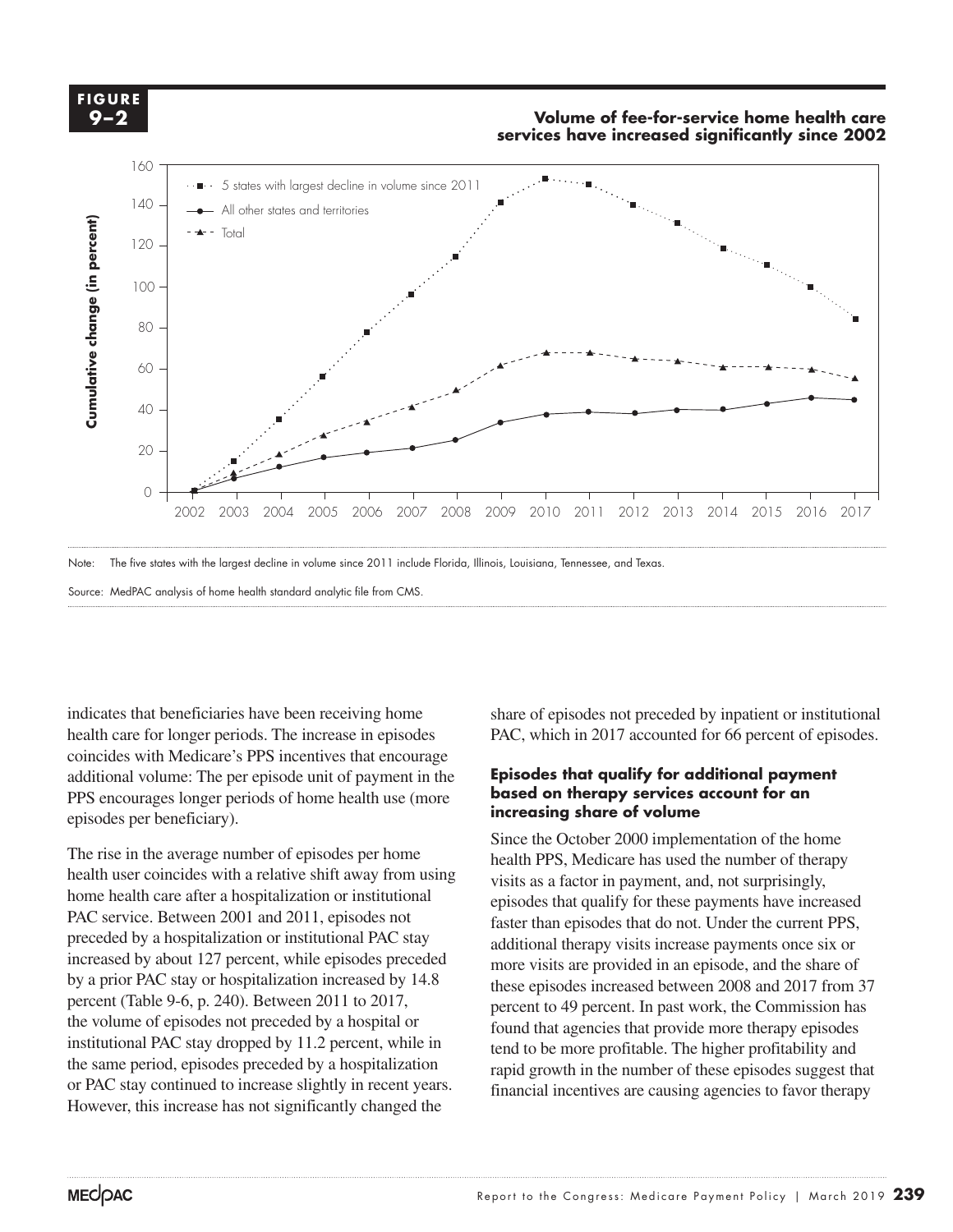

Source: MedPAC analysis of home health standard analytic file from CMS.

indicates that beneficiaries have been receiving home health care for longer periods. The increase in episodes coincides with Medicare's PPS incentives that encourage additional volume: The per episode unit of payment in the PPS encourages longer periods of home health use (more episodes per beneficiary). **Increasing** 

The rise in the average number of episodes per home  $\frac{\text{Sinc}}{\text{height}}$ health user coincides with a relative shift away from using home health care after a hospitalization or institutional PAC service. Between 2001 and 2011, episodes not related than episodes the reduction of the data of the distribution of the distribution of the distribution of the distribution of the distribution of the distribution of th preceded by a hospitalization or institutional PAC stay additional therapy visi increased by about 127 percent, while episodes preceded by a prior PAC stay or hospitalization increased by  $14.8 \times 11.8 \times 10^{-10}$ . percent (Table 9-6, p. 240). Between 2011 to 2017, the volume of episodes not preceded by a hospital or  $\frac{\text{perc}}{\text{foun}}$ institutional PAC stay dropped by 11.2 percent, while in the same period, episodes preceded by a hospitalization or PAC stay continued to increase slightly in recent years. However, this increase has not significantly changed the

share of episodes not preceded by inpatient or institutional PAC, which in 2017 accounted for 66 percent of episodes.

#### **Episodes that qualify for additional payment based on therapy services account for an increasing share of volume**

Since the October 2000 implementation of the home health PPS, Medicare has used the number of therapy user coincides with a relative shift away from using visits as a factor in payment, and, not surprisingly, episodes that qualify for these payments have increased faster than episodes that do not. Under the current PPS, additional therapy visits increase payments once six or ed by about 12/ percent, while episodes preceded more visits are provided in an episode, and the share of these episodes increased between 2008 and 2017 from 37 percent to 49 percent. In past work, the Commission has found that agencies that provide more therapy episodes tend to be more profitable. The higher profitability and rapid growth in the number of these episodes suggest that financial incentives are causing agencies to favor therapy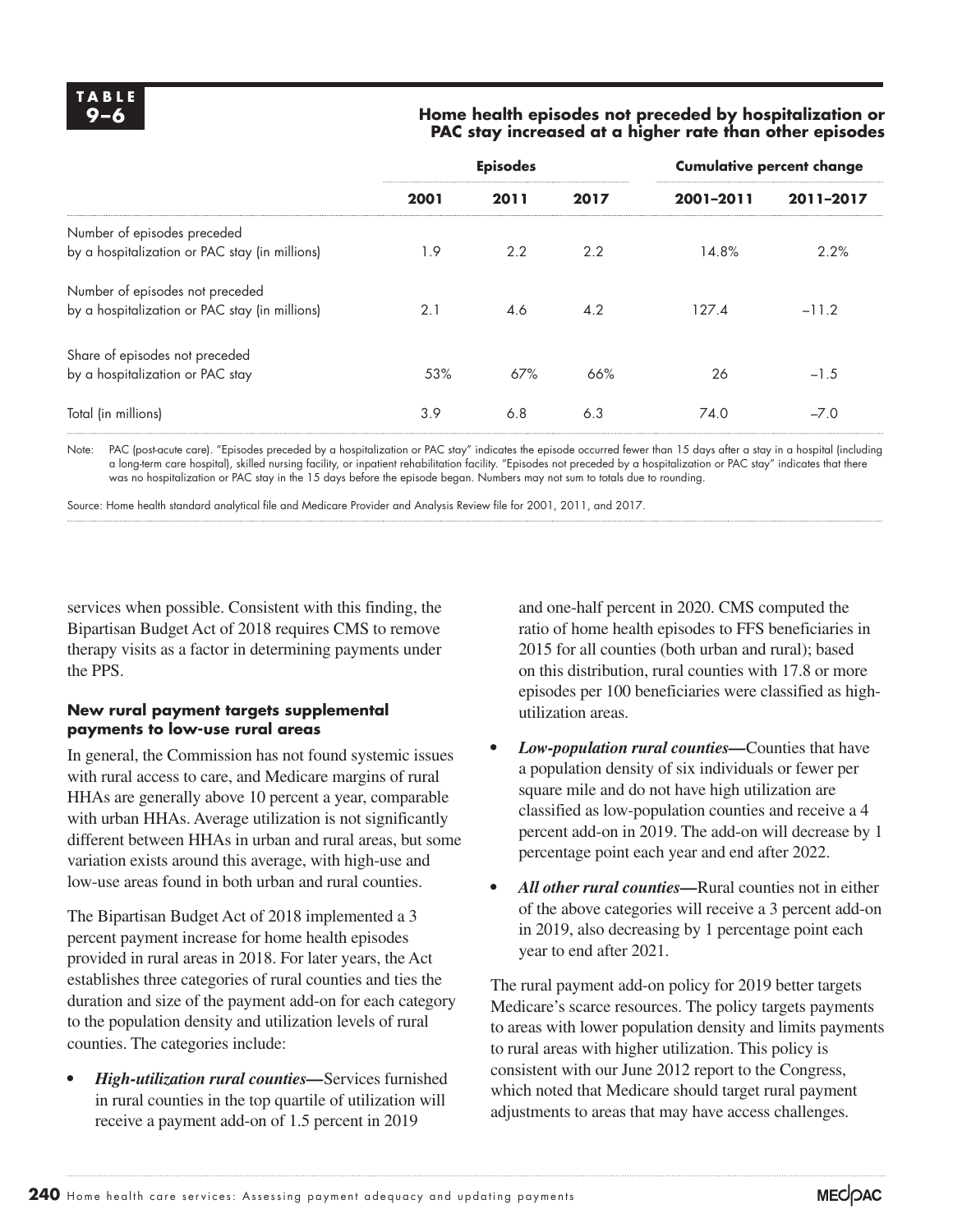#### **9–6 Home health episodes not preceded by hospitalization or PAC stay increased at a higher rate than other episodes**

|                                                | <b>Episodes</b> |      |      | <b>Cumulative percent change</b> |           |  |
|------------------------------------------------|-----------------|------|------|----------------------------------|-----------|--|
|                                                | 2001            | 2011 | 2017 | 2001-2011                        | 2011-2017 |  |
| Number of episodes preceded                    |                 |      |      |                                  |           |  |
| by a hospitalization or PAC stay (in millions) | 1.9             | 2.2  | 2.2  | 14.8%                            | 2.2%      |  |
| Number of episodes not preceded                |                 |      |      |                                  |           |  |
| by a hospitalization or PAC stay (in millions) | 2.1             | 4.6  | 4.2  | 127.4                            | $-11.2$   |  |
| Share of episodes not preceded                 |                 |      |      |                                  |           |  |
| by a hospitalization or PAC stay               | 53%             | 67%  | 66%  | 26                               | $-1.5$    |  |
| Total (in millions)                            | 3.9             | 6.8  | 6.3  | 74.0                             | $-7.0$    |  |

Note: PAC (post-acute care). "Episodes preceded by a hospitalization or PAC stay" indicates the episode occurred fewer than 15 days after a stay in a hospital (including a long-term care hospital), skilled nursing facility, or inpatient rehabilitation facility. "Episodes not preceded by a hospitalization or PAC stay" indicates that there was no hospitalization or PAC stay in the 15 days before the episode began. Numbers may not sum to totals due to rounding.

Source: Home health standard analytical file and Medicare Provider and Analysis Review file for 2001, 2011, and 2017.

services when possible. Consistent with this finding, the Bipartisan Budget Act of 2018 requires CMS to remove therapy visits as a factor in determining payments under the PPS.

#### **New rural payment targets supplemental payments to low-use rural areas**

In general, the Commission has not found systemic issues with rural access to care, and Medicare margins of rural HHAs are generally above 10 percent a year, comparable with urban HHAs. Average utilization is not significantly different between HHAs in urban and rural areas, but some variation exists around this average, with high-use and low-use areas found in both urban and rural counties.

The Bipartisan Budget Act of 2018 implemented a 3 percent payment increase for home health episodes provided in rural areas in 2018. For later years, the Act establishes three categories of rural counties and ties the duration and size of the payment add-on for each category to the population density and utilization levels of rural counties. The categories include:

*• High-utilization rural counties—*Services furnished in rural counties in the top quartile of utilization will receive a payment add-on of 1.5 percent in 2019

and one-half percent in 2020. CMS computed the ratio of home health episodes to FFS beneficiaries in 2015 for all counties (both urban and rural); based on this distribution, rural counties with 17.8 or more episodes per 100 beneficiaries were classified as highutilization areas.

- *• Low-population rural counties—*Counties that have a population density of six individuals or fewer per square mile and do not have high utilization are classified as low-population counties and receive a 4 percent add-on in 2019. The add-on will decrease by 1 percentage point each year and end after 2022.
- *• All other rural counties—*Rural counties not in either of the above categories will receive a 3 percent add-on in 2019, also decreasing by 1 percentage point each year to end after 2021.

The rural payment add-on policy for 2019 better targets Medicare's scarce resources. The policy targets payments to areas with lower population density and limits payments to rural areas with higher utilization. This policy is consistent with our June 2012 report to the Congress, which noted that Medicare should target rural payment adjustments to areas that may have access challenges.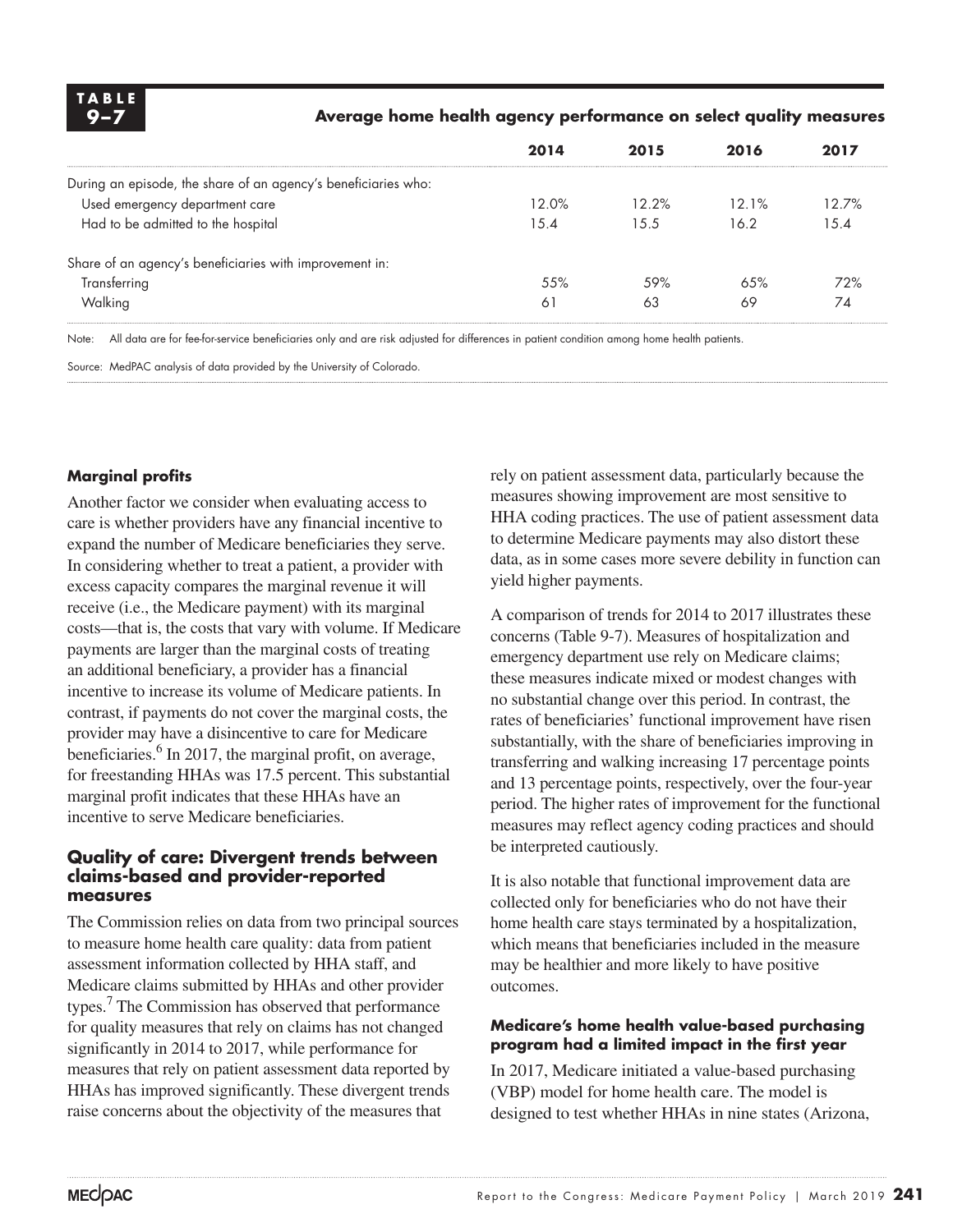

#### **9–7 Average home health agency performance on select quality measures**

|                                                                | 2014  | 2015  | 2016  | 2017  |
|----------------------------------------------------------------|-------|-------|-------|-------|
| During an episode, the share of an agency's beneficiaries who: |       |       |       |       |
| Used emergency department care                                 | 12.0% | 12.2% | 12.1% | 12.7% |
| Had to be admitted to the hospital                             | 15.4  | 1.5.5 | 16.2  | 15.4  |
| Share of an agency's beneficiaries with improvement in:        |       |       |       |       |
| Transferring                                                   | .55%  | .59%  | 6.5%  | 72%   |
| Walking                                                        | 61    | 63    | 69    | 74    |

Note: All data are for fee-for-service beneficiaries only and are risk adjusted for differences in patient condition among home health patients.

Source: MedPAC analysis of data provided by the University of Colorado.

#### **Marginal profits**

Another factor we consider when evaluating access to care is whether providers have any financial incentive to expand the number of Medicare beneficiaries they serve. In considering whether to treat a patient, a provider with excess capacity compares the marginal revenue it will receive (i.e., the Medicare payment) with its marginal costs—that is, the costs that vary with volume. If Medicare payments are larger than the marginal costs of treating an additional beneficiary, a provider has a financial incentive to increase its volume of Medicare patients. In contrast, if payments do not cover the marginal costs, the provider may have a disincentive to care for Medicare beneficiaries.<sup>6</sup> In 2017, the marginal profit, on average, for freestanding HHAs was 17.5 percent. This substantial marginal profit indicates that these HHAs have an incentive to serve Medicare beneficiaries.

#### **Quality of care: Divergent trends between claims-based and provider-reported measures**

The Commission relies on data from two principal sources to measure home health care quality: data from patient assessment information collected by HHA staff, and Medicare claims submitted by HHAs and other provider types.<sup>7</sup> The Commission has observed that performance for quality measures that rely on claims has not changed significantly in 2014 to 2017, while performance for measures that rely on patient assessment data reported by HHAs has improved significantly. These divergent trends raise concerns about the objectivity of the measures that

rely on patient assessment data, particularly because the measures showing improvement are most sensitive to HHA coding practices. The use of patient assessment data to determine Medicare payments may also distort these data, as in some cases more severe debility in function can yield higher payments.

A comparison of trends for 2014 to 2017 illustrates these concerns (Table 9-7). Measures of hospitalization and emergency department use rely on Medicare claims; these measures indicate mixed or modest changes with no substantial change over this period. In contrast, the rates of beneficiaries' functional improvement have risen substantially, with the share of beneficiaries improving in transferring and walking increasing 17 percentage points and 13 percentage points, respectively, over the four-year period. The higher rates of improvement for the functional measures may reflect agency coding practices and should be interpreted cautiously.

It is also notable that functional improvement data are collected only for beneficiaries who do not have their home health care stays terminated by a hospitalization, which means that beneficiaries included in the measure may be healthier and more likely to have positive outcomes.

#### **Medicare's home health value-based purchasing program had a limited impact in the first year**

In 2017, Medicare initiated a value-based purchasing (VBP) model for home health care. The model is designed to test whether HHAs in nine states (Arizona,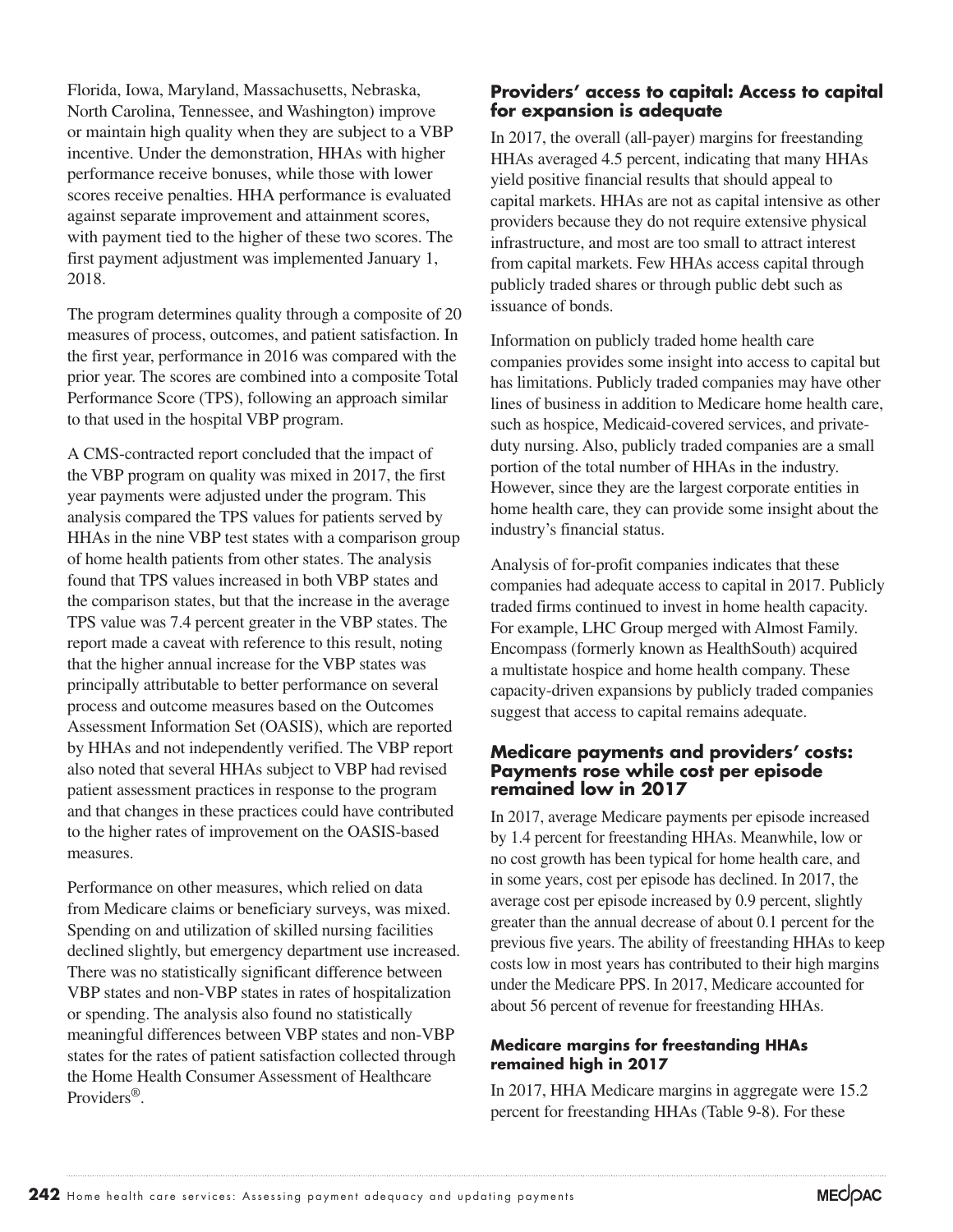Florida, Iowa, Maryland, Massachusetts, Nebraska, North Carolina, Tennessee, and Washington) improve or maintain high quality when they are subject to a VBP incentive. Under the demonstration, HHAs with higher performance receive bonuses, while those with lower scores receive penalties. HHA performance is evaluated against separate improvement and attainment scores, with payment tied to the higher of these two scores. The first payment adjustment was implemented January 1, 2018.

The program determines quality through a composite of 20 measures of process, outcomes, and patient satisfaction. In the first year, performance in 2016 was compared with the prior year. The scores are combined into a composite Total Performance Score (TPS), following an approach similar to that used in the hospital VBP program.

A CMS-contracted report concluded that the impact of the VBP program on quality was mixed in 2017, the first year payments were adjusted under the program. This analysis compared the TPS values for patients served by HHAs in the nine VBP test states with a comparison group of home health patients from other states. The analysis found that TPS values increased in both VBP states and the comparison states, but that the increase in the average TPS value was 7.4 percent greater in the VBP states. The report made a caveat with reference to this result, noting that the higher annual increase for the VBP states was principally attributable to better performance on several process and outcome measures based on the Outcomes Assessment Information Set (OASIS), which are reported by HHAs and not independently verified. The VBP report also noted that several HHAs subject to VBP had revised patient assessment practices in response to the program and that changes in these practices could have contributed to the higher rates of improvement on the OASIS-based measures.

Performance on other measures, which relied on data from Medicare claims or beneficiary surveys, was mixed. Spending on and utilization of skilled nursing facilities declined slightly, but emergency department use increased. There was no statistically significant difference between VBP states and non-VBP states in rates of hospitalization or spending. The analysis also found no statistically meaningful differences between VBP states and non-VBP states for the rates of patient satisfaction collected through the Home Health Consumer Assessment of Healthcare Providers®.

#### **Providers' access to capital: Access to capital for expansion is adequate**

In 2017, the overall (all-payer) margins for freestanding HHAs averaged 4.5 percent, indicating that many HHAs yield positive financial results that should appeal to capital markets. HHAs are not as capital intensive as other providers because they do not require extensive physical infrastructure, and most are too small to attract interest from capital markets. Few HHAs access capital through publicly traded shares or through public debt such as issuance of bonds.

Information on publicly traded home health care companies provides some insight into access to capital but has limitations. Publicly traded companies may have other lines of business in addition to Medicare home health care, such as hospice, Medicaid-covered services, and privateduty nursing. Also, publicly traded companies are a small portion of the total number of HHAs in the industry. However, since they are the largest corporate entities in home health care, they can provide some insight about the industry's financial status.

Analysis of for-profit companies indicates that these companies had adequate access to capital in 2017. Publicly traded firms continued to invest in home health capacity. For example, LHC Group merged with Almost Family. Encompass (formerly known as HealthSouth) acquired a multistate hospice and home health company. These capacity-driven expansions by publicly traded companies suggest that access to capital remains adequate.

#### **Medicare payments and providers' costs: Payments rose while cost per episode remained low in 2017**

In 2017, average Medicare payments per episode increased by 1.4 percent for freestanding HHAs. Meanwhile, low or no cost growth has been typical for home health care, and in some years, cost per episode has declined. In 2017, the average cost per episode increased by 0.9 percent, slightly greater than the annual decrease of about 0.1 percent for the previous five years. The ability of freestanding HHAs to keep costs low in most years has contributed to their high margins under the Medicare PPS. In 2017, Medicare accounted for about 56 percent of revenue for freestanding HHAs.

#### **Medicare margins for freestanding HHAs remained high in 2017**

In 2017, HHA Medicare margins in aggregate were 15.2 percent for freestanding HHAs (Table 9-8). For these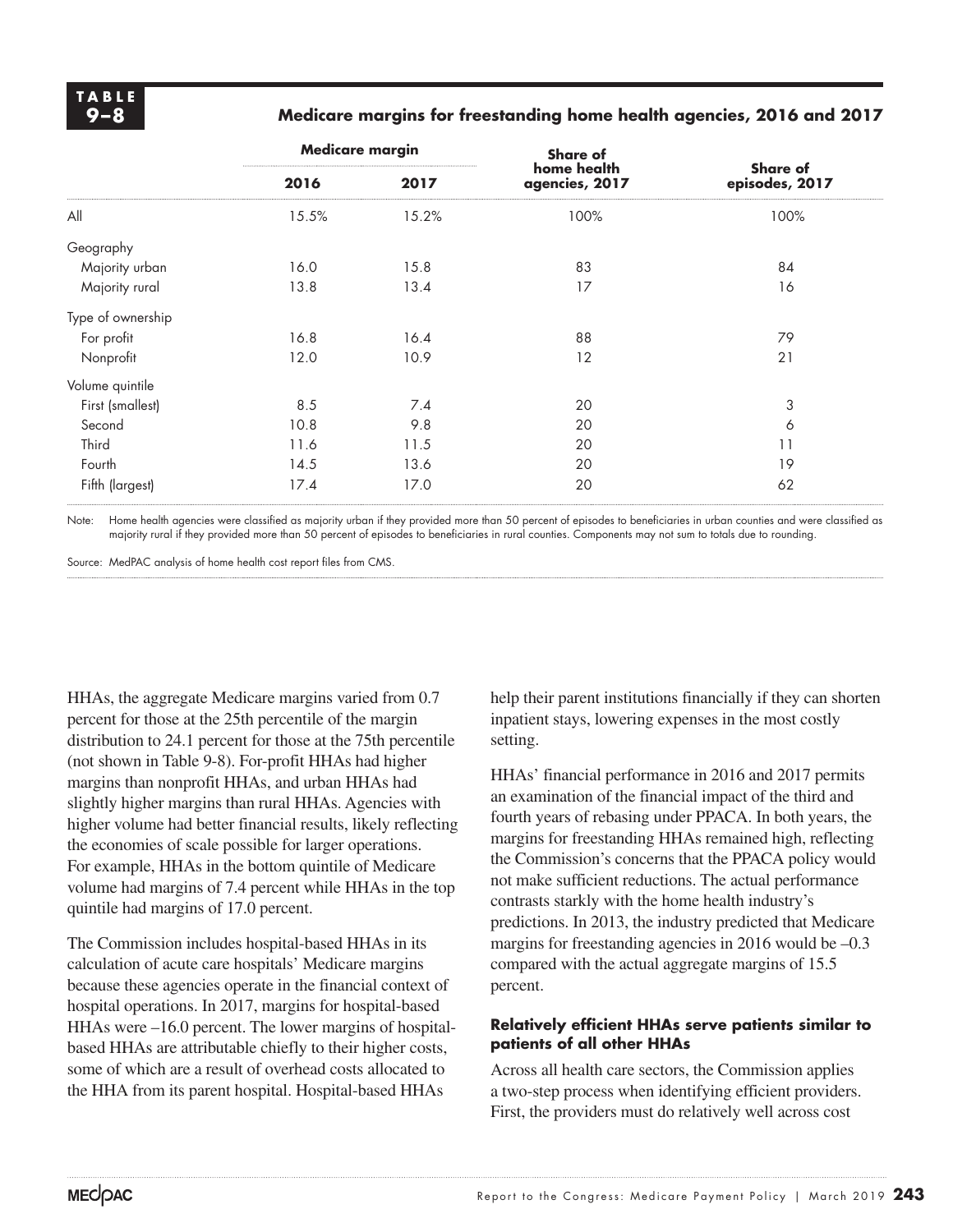#### **9–8 Medicare margins for freestanding home health agencies, 2016 and 2017**

|                   | <b>Medicare margin</b> |       | <b>Share of</b>               |                                   |  |  |
|-------------------|------------------------|-------|-------------------------------|-----------------------------------|--|--|
|                   | 2016                   | 2017  | home health<br>agencies, 2017 | <b>Share of</b><br>episodes, 2017 |  |  |
| All               | 15.5%                  | 15.2% | 100%                          | 100%                              |  |  |
| Geography         |                        |       |                               |                                   |  |  |
| Majority urban    | 16.0                   | 15.8  | 83                            | 84                                |  |  |
| Majority rural    | 13.8                   | 13.4  | 17                            | 16                                |  |  |
| Type of ownership |                        |       |                               |                                   |  |  |
| For profit        | 16.8                   | 16.4  | 88                            | 79                                |  |  |
| Nonprofit         | 12.0                   | 10.9  | 12                            | 21                                |  |  |
| Volume quintile   |                        |       |                               |                                   |  |  |
| First (smallest)  | 8.5                    | 7.4   | 20                            | 3                                 |  |  |
| Second            | 10.8                   | 9.8   | 20                            | 6                                 |  |  |
| Third             | 11.6                   | 11.5  | 20                            | 11                                |  |  |
| Fourth            | 14.5                   | 13.6  | 20                            | 19                                |  |  |
| Fifth (largest)   | 17.4                   | 17.0  | 20                            | 62                                |  |  |

Note: Home health agencies were classified as majority urban if they provided more than 50 percent of episodes to beneficiaries in urban counties and were classified as majority rural if they provided more than 50 percent of episodes to beneficiaries in rural counties. Components may not sum to totals due to rounding.

Source: MedPAC analysis of home health cost report files from CMS.

HHAs, the aggregate Medicare margins varied from 0.7 percent for those at the 25th percentile of the margin distribution to 24.1 percent for those at the 75th percentile (not shown in Table 9-8). For-profit HHAs had higher margins than nonprofit HHAs, and urban HHAs had slightly higher margins than rural HHAs. Agencies with higher volume had better financial results, likely reflecting the economies of scale possible for larger operations. For example, HHAs in the bottom quintile of Medicare volume had margins of 7.4 percent while HHAs in the top quintile had margins of 17.0 percent.

The Commission includes hospital-based HHAs in its calculation of acute care hospitals' Medicare margins because these agencies operate in the financial context of hospital operations. In 2017, margins for hospital-based HHAs were –16.0 percent. The lower margins of hospitalbased HHAs are attributable chiefly to their higher costs, some of which are a result of overhead costs allocated to the HHA from its parent hospital. Hospital-based HHAs

help their parent institutions financially if they can shorten inpatient stays, lowering expenses in the most costly setting.

HHAs' financial performance in 2016 and 2017 permits an examination of the financial impact of the third and fourth years of rebasing under PPACA. In both years, the margins for freestanding HHAs remained high, reflecting the Commission's concerns that the PPACA policy would not make sufficient reductions. The actual performance contrasts starkly with the home health industry's predictions. In 2013, the industry predicted that Medicare margins for freestanding agencies in 2016 would be  $-0.3$ compared with the actual aggregate margins of 15.5 percent.

#### **Relatively efficient HHAs serve patients similar to patients of all other HHAs**

Across all health care sectors, the Commission applies a two-step process when identifying efficient providers. First, the providers must do relatively well across cost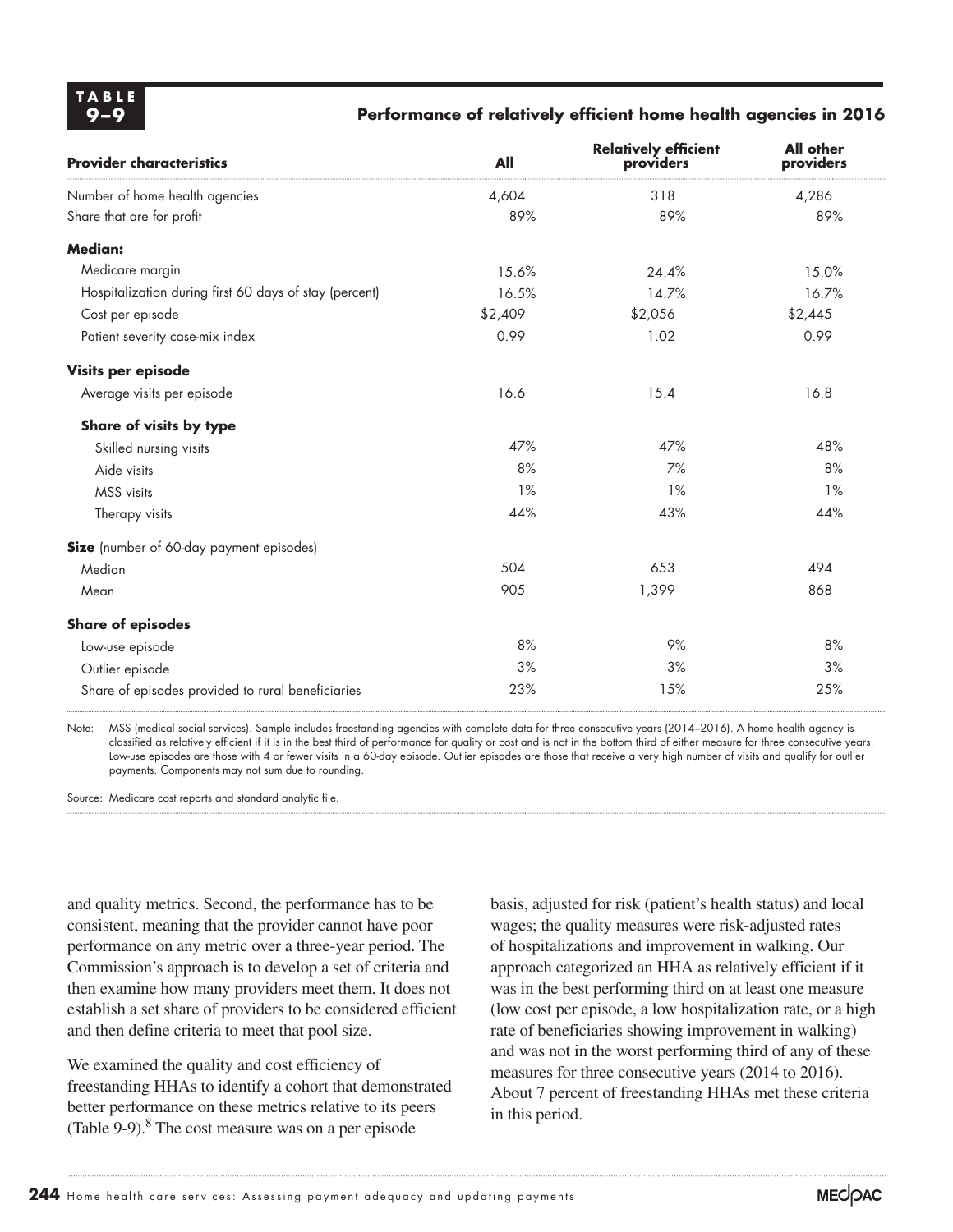**TABLE**

#### **9–9 Performance of relatively efficient home health agencies in 2016**

| <b>Provider characteristics</b>                        | All     | <b>Relatively efficient</b><br>providers | <b>All other</b><br>providers |
|--------------------------------------------------------|---------|------------------------------------------|-------------------------------|
| Number of home health agencies                         | 4,604   | 318                                      | 4,286                         |
| Share that are for profit                              | 89%     | 89%                                      | 89%                           |
| <b>Median:</b>                                         |         |                                          |                               |
| Medicare margin                                        | 15.6%   | 24.4%                                    | 15.0%                         |
| Hospitalization during first 60 days of stay (percent) | 16.5%   | 14.7%                                    | 16.7%                         |
| Cost per episode                                       | \$2,409 | \$2,056                                  | \$2,445                       |
| Patient severity case-mix index                        | 0.99    | 1.02                                     | 0.99                          |
| Visits per episode                                     |         |                                          |                               |
| Average visits per episode                             | 16.6    | 15.4                                     | 16.8                          |
| Share of visits by type                                |         |                                          |                               |
| Skilled nursing visits                                 | 47%     | 47%                                      | 48%                           |
| Aide visits                                            | 8%      | 7%                                       | 8%                            |
| MSS visits                                             | 1%      | 1%                                       | 1%                            |
| Therapy visits                                         | 44%     | 43%                                      | 44%                           |
| Size (number of 60-day payment episodes)               |         |                                          |                               |
| Median                                                 | 504     | 653                                      | 494                           |
| Mean                                                   | 905     | 1,399                                    | 868                           |
| <b>Share of episodes</b>                               |         |                                          |                               |
| Low-use episode                                        | 8%      | 9%                                       | 8%                            |
| Outlier episode                                        | 3%      | 3%                                       | 3%                            |
| Share of episodes provided to rural beneficiaries      | 23%     | 15%                                      | 25%                           |
|                                                        |         |                                          |                               |

Note: MSS (medical social services). Sample includes freestanding agencies with complete data for three consecutive years (2014–2016). A home health agency is classified as relatively efficient if it is in the best third of performance for quality or cost and is not in the bottom third of either measure for three consecutive years. Low-use episodes are those with 4 or fewer visits in a 60-day episode. Outlier episodes are those that receive a very high number of visits and qualify for outlier payments. Components may not sum due to rounding.

Source: Medicare cost reports and standard analytic file.

and quality metrics. Second, the performance has to be consistent, meaning that the provider cannot have poor performance on any metric over a three-year period. The Commission's approach is to develop a set of criteria and then examine how many providers meet them. It does not establish a set share of providers to be considered efficient and then define criteria to meet that pool size.

We examined the quality and cost efficiency of freestanding HHAs to identify a cohort that demonstrated better performance on these metrics relative to its peers (Table 9-9).<sup>8</sup> The cost measure was on a per episode

basis, adjusted for risk (patient's health status) and local wages; the quality measures were risk-adjusted rates of hospitalizations and improvement in walking. Our approach categorized an HHA as relatively efficient if it was in the best performing third on at least one measure (low cost per episode, a low hospitalization rate, or a high rate of beneficiaries showing improvement in walking) and was not in the worst performing third of any of these measures for three consecutive years (2014 to 2016). About 7 percent of freestanding HHAs met these criteria in this period.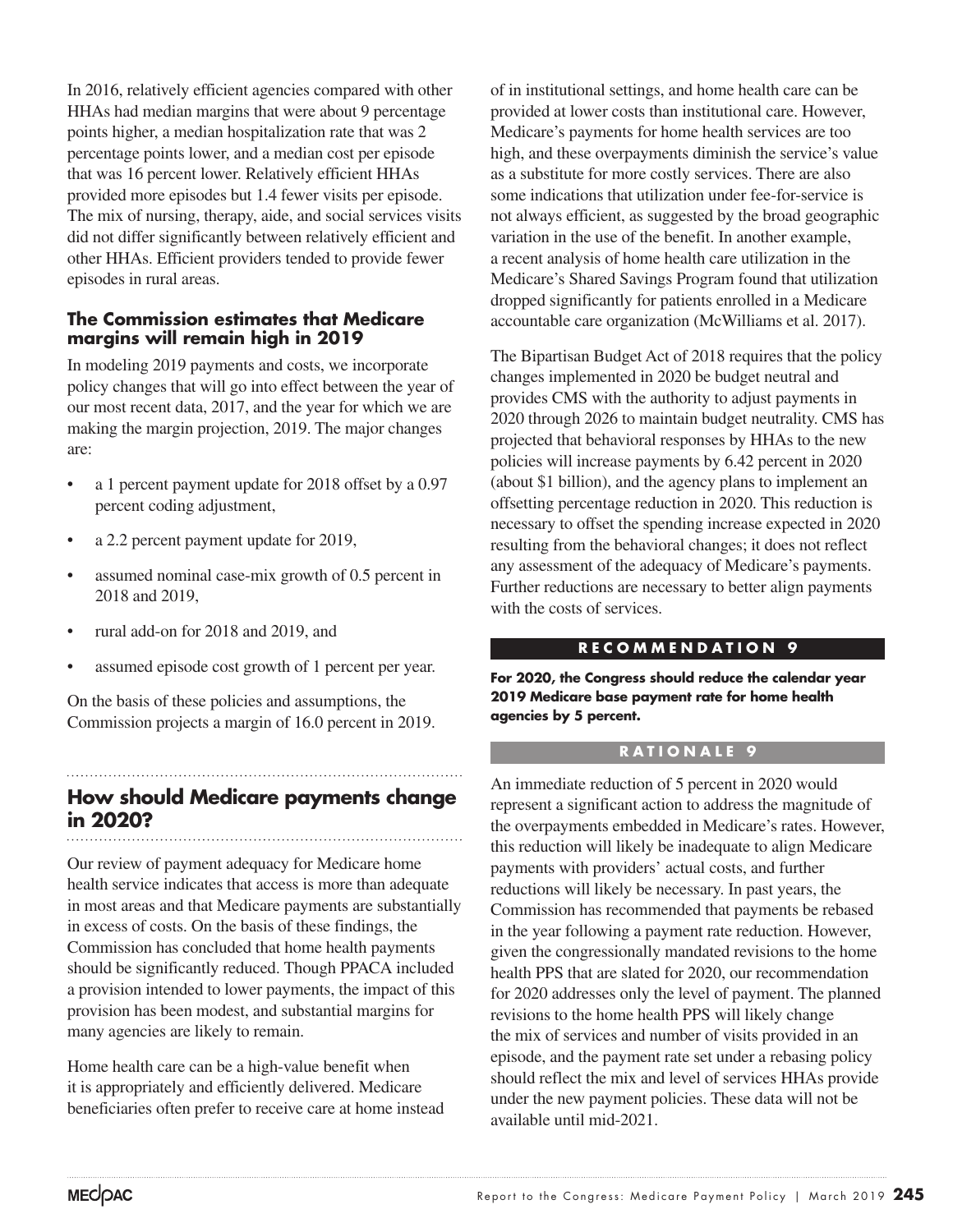In 2016, relatively efficient agencies compared with other HHAs had median margins that were about 9 percentage points higher, a median hospitalization rate that was 2 percentage points lower, and a median cost per episode that was 16 percent lower. Relatively efficient HHAs provided more episodes but 1.4 fewer visits per episode. The mix of nursing, therapy, aide, and social services visits did not differ significantly between relatively efficient and other HHAs. Efficient providers tended to provide fewer episodes in rural areas.

#### **The Commission estimates that Medicare margins will remain high in 2019**

In modeling 2019 payments and costs, we incorporate policy changes that will go into effect between the year of our most recent data, 2017, and the year for which we are making the margin projection, 2019. The major changes are:

- a 1 percent payment update for 2018 offset by a 0.97 percent coding adjustment,
- a 2.2 percent payment update for 2019,
- assumed nominal case-mix growth of 0.5 percent in 2018 and 2019,
- rural add-on for 2018 and 2019, and
- assumed episode cost growth of 1 percent per year.

On the basis of these policies and assumptions, the Commission projects a margin of 16.0 percent in 2019.

## **How should Medicare payments change in 2020?**

Our review of payment adequacy for Medicare home health service indicates that access is more than adequate in most areas and that Medicare payments are substantially in excess of costs. On the basis of these findings, the Commission has concluded that home health payments should be significantly reduced. Though PPACA included a provision intended to lower payments, the impact of this provision has been modest, and substantial margins for many agencies are likely to remain.

Home health care can be a high-value benefit when it is appropriately and efficiently delivered. Medicare beneficiaries often prefer to receive care at home instead of in institutional settings, and home health care can be provided at lower costs than institutional care. However, Medicare's payments for home health services are too high, and these overpayments diminish the service's value as a substitute for more costly services. There are also some indications that utilization under fee-for-service is not always efficient, as suggested by the broad geographic variation in the use of the benefit. In another example, a recent analysis of home health care utilization in the Medicare's Shared Savings Program found that utilization dropped significantly for patients enrolled in a Medicare accountable care organization (McWilliams et al. 2017).

The Bipartisan Budget Act of 2018 requires that the policy changes implemented in 2020 be budget neutral and provides CMS with the authority to adjust payments in 2020 through 2026 to maintain budget neutrality. CMS has projected that behavioral responses by HHAs to the new policies will increase payments by 6.42 percent in 2020 (about \$1 billion), and the agency plans to implement an offsetting percentage reduction in 2020. This reduction is necessary to offset the spending increase expected in 2020 resulting from the behavioral changes; it does not reflect any assessment of the adequacy of Medicare's payments. Further reductions are necessary to better align payments with the costs of services.

#### **RECOMMENDATION 9**

**For 2020, the Congress should reduce the calendar year 2019 Medicare base payment rate for home health agencies by 5 percent.** 

#### **RATIONALE 9**

An immediate reduction of 5 percent in 2020 would represent a significant action to address the magnitude of the overpayments embedded in Medicare's rates. However, this reduction will likely be inadequate to align Medicare payments with providers' actual costs, and further reductions will likely be necessary. In past years, the Commission has recommended that payments be rebased in the year following a payment rate reduction. However, given the congressionally mandated revisions to the home health PPS that are slated for 2020, our recommendation for 2020 addresses only the level of payment. The planned revisions to the home health PPS will likely change the mix of services and number of visits provided in an episode, and the payment rate set under a rebasing policy should reflect the mix and level of services HHAs provide under the new payment policies. These data will not be available until mid-2021.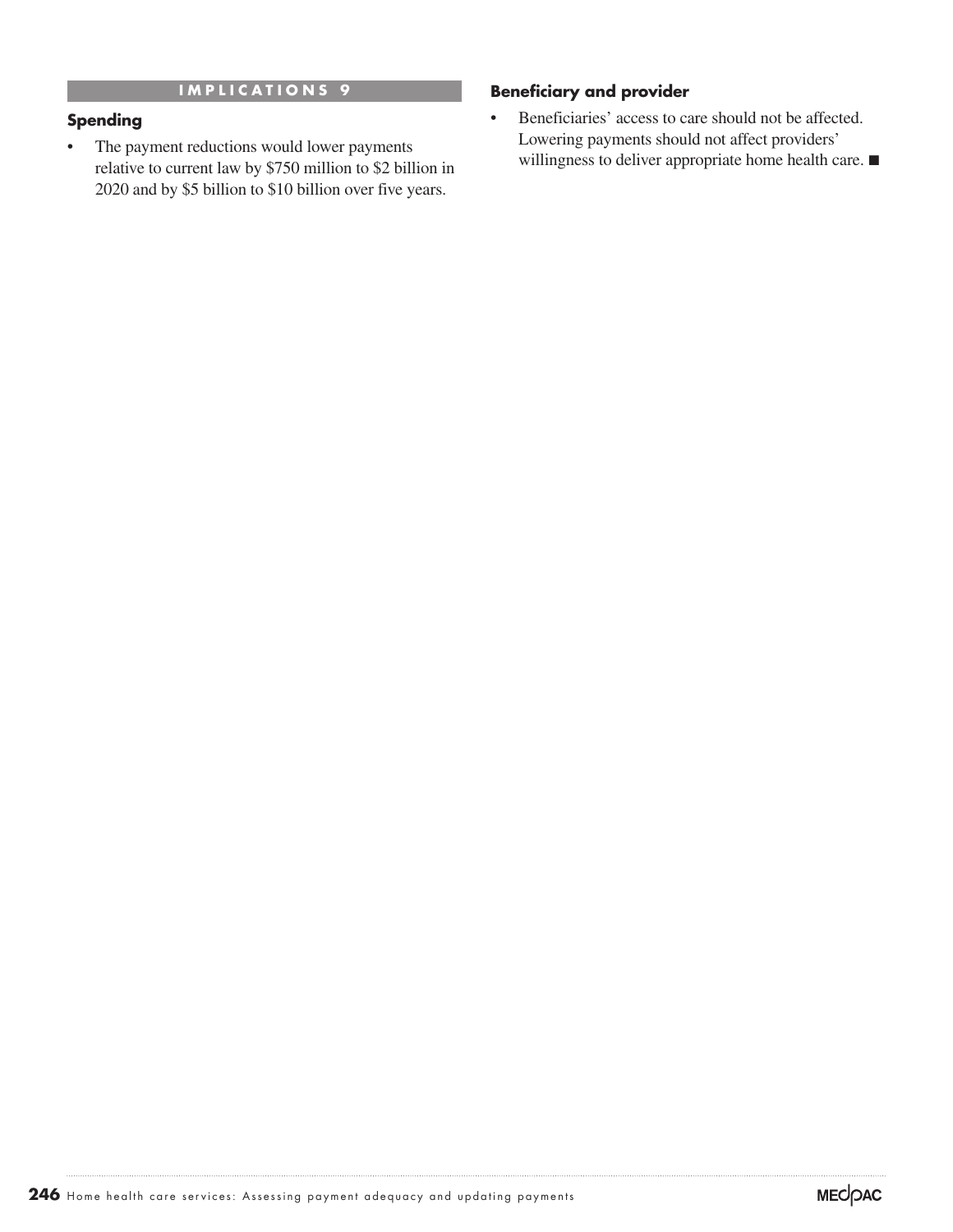#### **IMPLICATIONS 9**

#### **Spending**

• The payment reductions would lower payments relative to current law by \$750 million to \$2 billion in 2020 and by \$5 billion to \$10 billion over five years.

#### **Beneficiary and provider**

• Beneficiaries' access to care should not be affected. Lowering payments should not affect providers' willingness to deliver appropriate home health care. ■

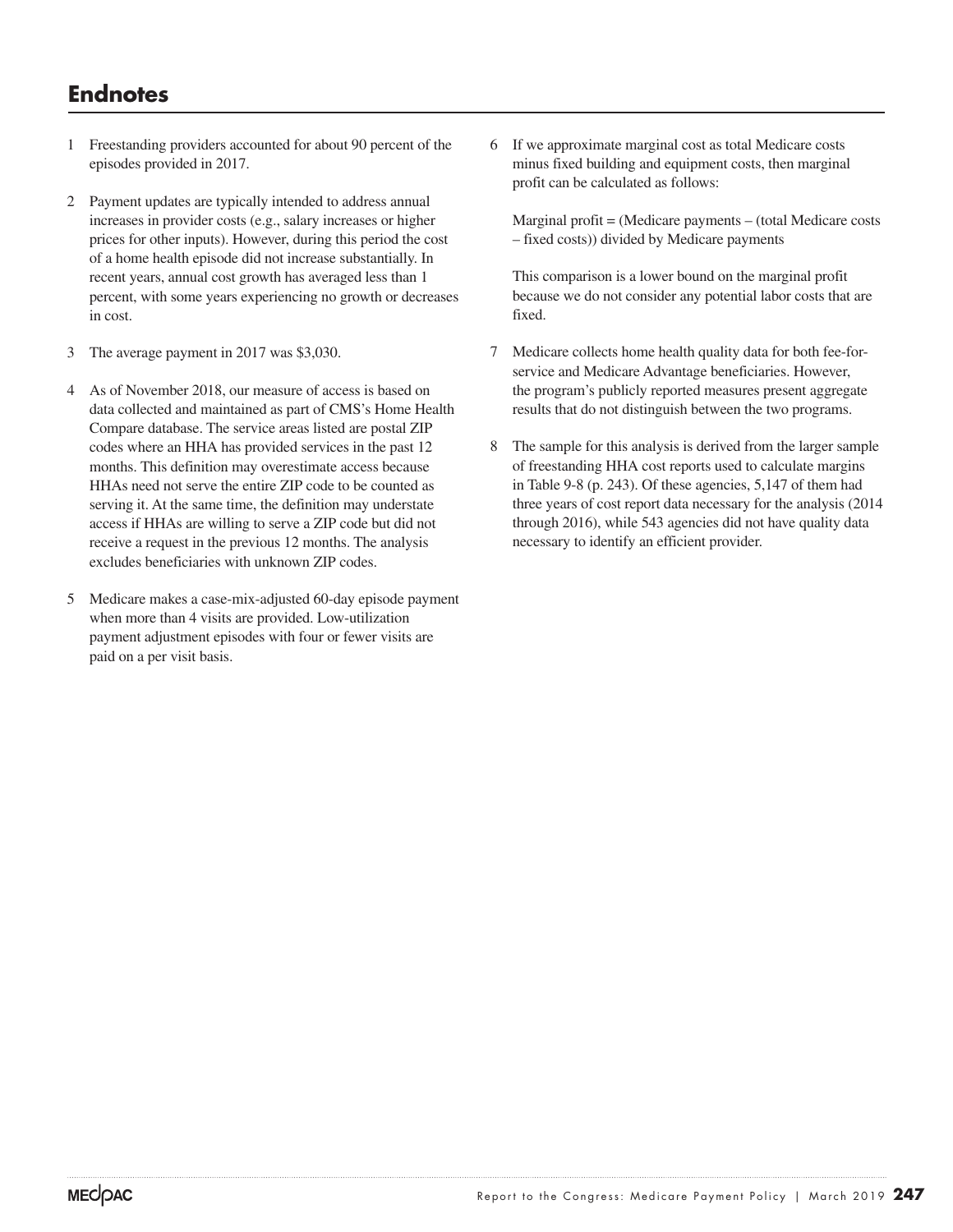## **Endnotes**

- 1 Freestanding providers accounted for about 90 percent of the episodes provided in 2017.
- 2 Payment updates are typically intended to address annual increases in provider costs (e.g., salary increases or higher prices for other inputs). However, during this period the cost of a home health episode did not increase substantially. In recent years, annual cost growth has averaged less than 1 percent, with some years experiencing no growth or decreases in cost.
- 3 The average payment in 2017 was \$3,030.
- 4 As of November 2018, our measure of access is based on data collected and maintained as part of CMS's Home Health Compare database. The service areas listed are postal ZIP codes where an HHA has provided services in the past 12 months. This definition may overestimate access because HHAs need not serve the entire ZIP code to be counted as serving it. At the same time, the definition may understate access if HHAs are willing to serve a ZIP code but did not receive a request in the previous 12 months. The analysis excludes beneficiaries with unknown ZIP codes.
- 5 Medicare makes a case-mix-adjusted 60-day episode payment when more than 4 visits are provided. Low-utilization payment adjustment episodes with four or fewer visits are paid on a per visit basis.

6 If we approximate marginal cost as total Medicare costs minus fixed building and equipment costs, then marginal profit can be calculated as follows:

Marginal profit = (Medicare payments – (total Medicare costs – fixed costs)) divided by Medicare payments

This comparison is a lower bound on the marginal profit because we do not consider any potential labor costs that are fixed.

- 7 Medicare collects home health quality data for both fee-forservice and Medicare Advantage beneficiaries. However, the program's publicly reported measures present aggregate results that do not distinguish between the two programs.
- 8 The sample for this analysis is derived from the larger sample of freestanding HHA cost reports used to calculate margins in Table 9-8 (p. 243). Of these agencies, 5,147 of them had three years of cost report data necessary for the analysis (2014 through 2016), while 543 agencies did not have quality data necessary to identify an efficient provider.